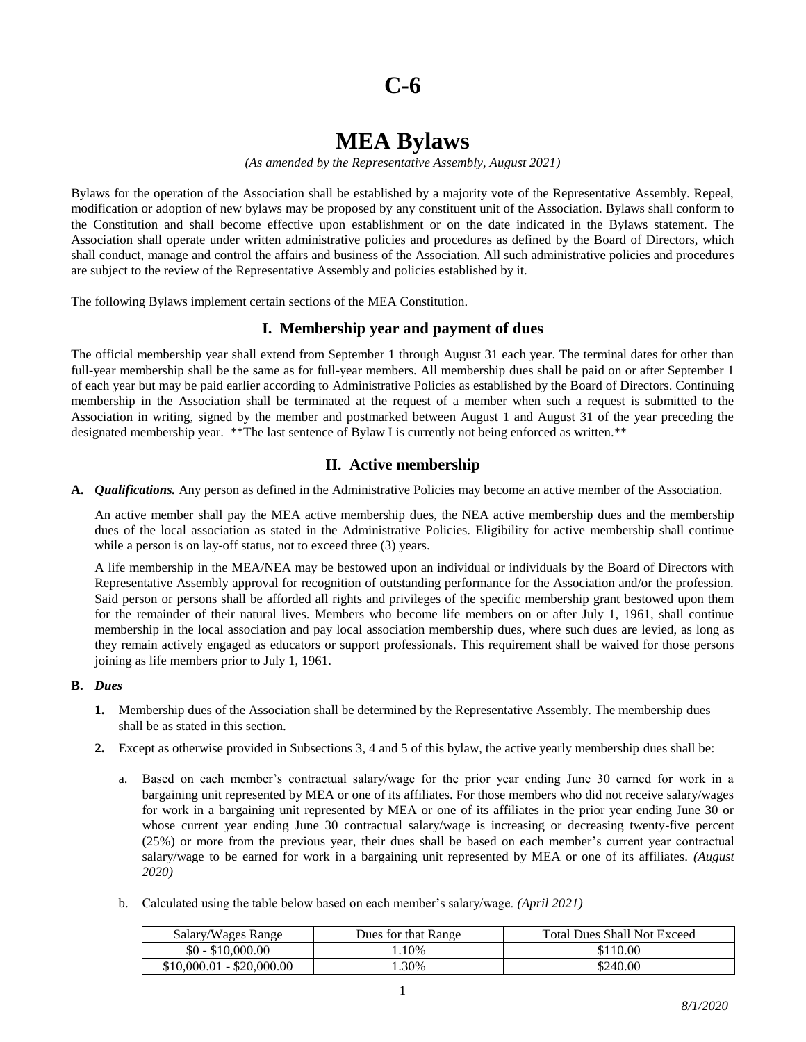# **C-6**

# **MEA Bylaws**

*(As amended by the Representative Assembly, August 2021)*

Bylaws for the operation of the Association shall be established by a majority vote of the Representative Assembly. Repeal, modification or adoption of new bylaws may be proposed by any constituent unit of the Association. Bylaws shall conform to the Constitution and shall become effective upon establishment or on the date indicated in the Bylaws statement. The Association shall operate under written administrative policies and procedures as defined by the Board of Directors, which shall conduct, manage and control the affairs and business of the Association. All such administrative policies and procedures are subject to the review of the Representative Assembly and policies established by it.

The following Bylaws implement certain sections of the MEA Constitution.

## **I. Membership year and payment of dues**

The official membership year shall extend from September 1 through August 31 each year. The terminal dates for other than full-year membership shall be the same as for full-year members. All membership dues shall be paid on or after September 1 of each year but may be paid earlier according to Administrative Policies as established by the Board of Directors. Continuing membership in the Association shall be terminated at the request of a member when such a request is submitted to the Association in writing, signed by the member and postmarked between August 1 and August 31 of the year preceding the designated membership year. \*\*The last sentence of Bylaw I is currently not being enforced as written.\*\*

## **II. Active membership**

**A.** *Qualifications.* Any person as defined in the Administrative Policies may become an active member of the Association.

An active member shall pay the MEA active membership dues, the NEA active membership dues and the membership dues of the local association as stated in the Administrative Policies. Eligibility for active membership shall continue while a person is on lay-off status, not to exceed three  $(3)$  years.

A life membership in the MEA/NEA may be bestowed upon an individual or individuals by the Board of Directors with Representative Assembly approval for recognition of outstanding performance for the Association and/or the profession. Said person or persons shall be afforded all rights and privileges of the specific membership grant bestowed upon them for the remainder of their natural lives. Members who become life members on or after July 1, 1961, shall continue membership in the local association and pay local association membership dues, where such dues are levied, as long as they remain actively engaged as educators or support professionals. This requirement shall be waived for those persons joining as life members prior to July 1, 1961.

#### **B.** *Dues*

- **1.** Membership dues of the Association shall be determined by the Representative Assembly. The membership dues shall be as stated in this section.
- **2.** Except as otherwise provided in Subsections 3, 4 and 5 of this bylaw, the active yearly membership dues shall be:
	- a. Based on each member's contractual salary/wage for the prior year ending June 30 earned for work in a bargaining unit represented by MEA or one of its affiliates. For those members who did not receive salary/wages for work in a bargaining unit represented by MEA or one of its affiliates in the prior year ending June 30 or whose current year ending June 30 contractual salary/wage is increasing or decreasing twenty-five percent (25%) or more from the previous year, their dues shall be based on each member's current year contractual salary/wage to be earned for work in a bargaining unit represented by MEA or one of its affiliates. *(August 2020)*
	- b. Calculated using the table below based on each member's salary/wage. *(April 2021)*

| Salary/Wages Range        | Dues for that Range | <b>Total Dues Shall Not Exceed</b> |
|---------------------------|---------------------|------------------------------------|
| $$0 - $10,000.00$         | .10%                | \$110.00                           |
| $$10,000.01 - $20,000.00$ | .30%                | \$240.00                           |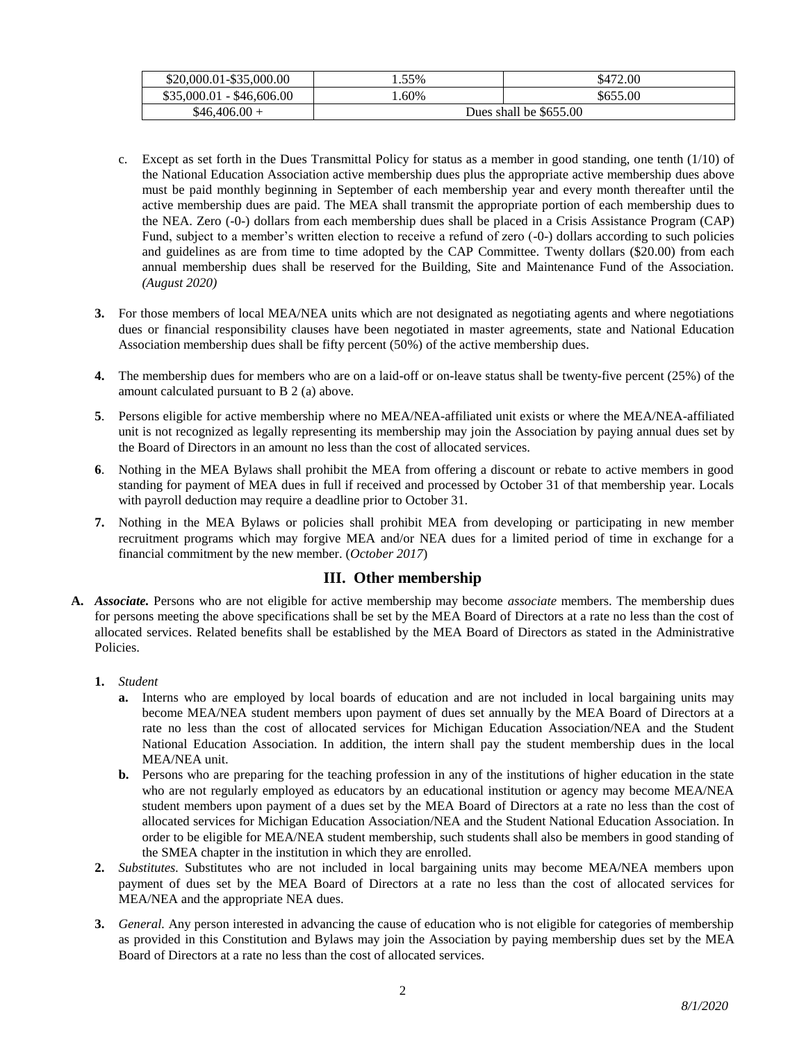| \$20,000.01-\$35,000.00   | .55%                   | \$472.00 |
|---------------------------|------------------------|----------|
| $$35,000.01 - $46,606.00$ | .60%                   | \$655.00 |
| $$46,406.00+$             | Dues shall be \$655.00 |          |

- c. Except as set forth in the Dues Transmittal Policy for status as a member in good standing, one tenth (1/10) of the National Education Association active membership dues plus the appropriate active membership dues above must be paid monthly beginning in September of each membership year and every month thereafter until the active membership dues are paid. The MEA shall transmit the appropriate portion of each membership dues to the NEA. Zero (-0-) dollars from each membership dues shall be placed in a Crisis Assistance Program (CAP) Fund, subject to a member's written election to receive a refund of zero (-0-) dollars according to such policies and guidelines as are from time to time adopted by the CAP Committee. Twenty dollars (\$20.00) from each annual membership dues shall be reserved for the Building, Site and Maintenance Fund of the Association. *(August 2020)*
- **3.** For those members of local MEA/NEA units which are not designated as negotiating agents and where negotiations dues or financial responsibility clauses have been negotiated in master agreements, state and National Education Association membership dues shall be fifty percent (50%) of the active membership dues.
- **4.** The membership dues for members who are on a laid-off or on-leave status shall be twenty-five percent (25%) of the amount calculated pursuant to B 2 (a) above.
- **5**. Persons eligible for active membership where no MEA/NEA-affiliated unit exists or where the MEA/NEA-affiliated unit is not recognized as legally representing its membership may join the Association by paying annual dues set by the Board of Directors in an amount no less than the cost of allocated services.
- **6**. Nothing in the MEA Bylaws shall prohibit the MEA from offering a discount or rebate to active members in good standing for payment of MEA dues in full if received and processed by October 31 of that membership year. Locals with payroll deduction may require a deadline prior to October 31.
- **7.** Nothing in the MEA Bylaws or policies shall prohibit MEA from developing or participating in new member recruitment programs which may forgive MEA and/or NEA dues for a limited period of time in exchange for a financial commitment by the new member. (*October 2017*)

# **III. Other membership**

- **A.** *Associate.* Persons who are not eligible for active membership may become *associate* members. The membership dues for persons meeting the above specifications shall be set by the MEA Board of Directors at a rate no less than the cost of allocated services. Related benefits shall be established by the MEA Board of Directors as stated in the Administrative Policies.
	- **1.** *Student*
		- **a.** Interns who are employed by local boards of education and are not included in local bargaining units may become MEA/NEA student members upon payment of dues set annually by the MEA Board of Directors at a rate no less than the cost of allocated services for Michigan Education Association/NEA and the Student National Education Association. In addition, the intern shall pay the student membership dues in the local MEA/NEA unit.
		- **b.** Persons who are preparing for the teaching profession in any of the institutions of higher education in the state who are not regularly employed as educators by an educational institution or agency may become MEA/NEA student members upon payment of a dues set by the MEA Board of Directors at a rate no less than the cost of allocated services for Michigan Education Association/NEA and the Student National Education Association. In order to be eligible for MEA/NEA student membership, such students shall also be members in good standing of the SMEA chapter in the institution in which they are enrolled.
	- **2.** *Substitutes.* Substitutes who are not included in local bargaining units may become MEA/NEA members upon payment of dues set by the MEA Board of Directors at a rate no less than the cost of allocated services for MEA/NEA and the appropriate NEA dues.
	- **3.** *General.* Any person interested in advancing the cause of education who is not eligible for categories of membership as provided in this Constitution and Bylaws may join the Association by paying membership dues set by the MEA Board of Directors at a rate no less than the cost of allocated services.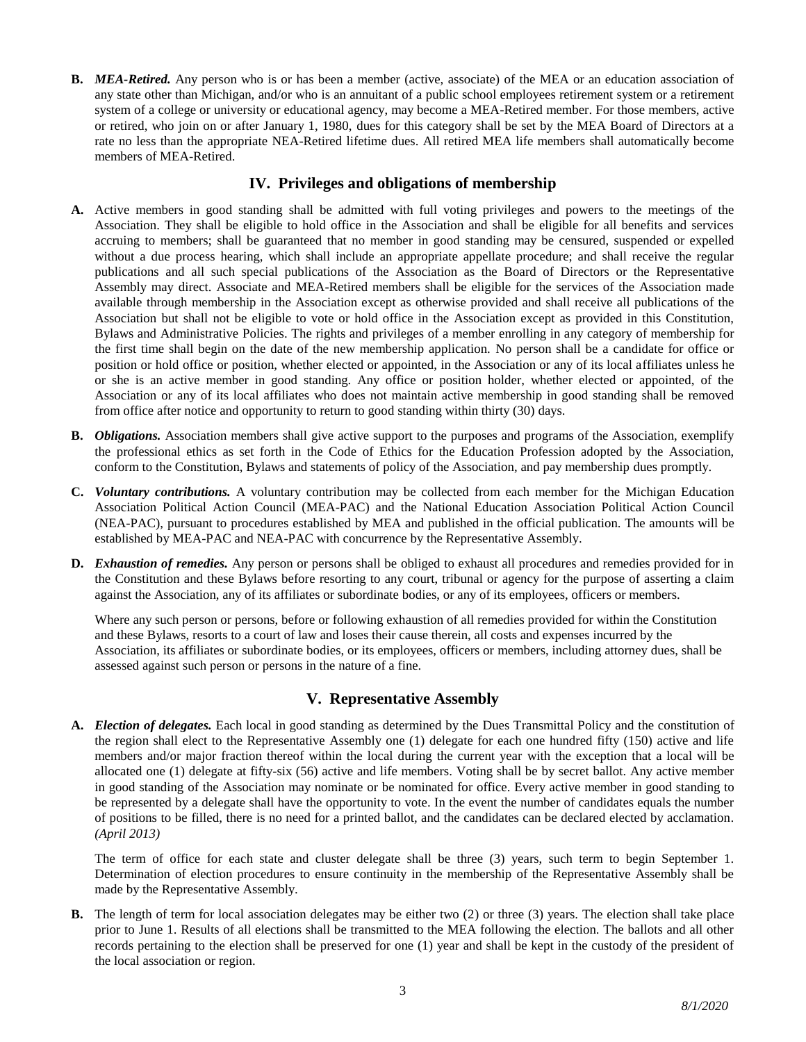**B.** *MEA-Retired.* Any person who is or has been a member (active, associate) of the MEA or an education association of any state other than Michigan, and/or who is an annuitant of a public school employees retirement system or a retirement system of a college or university or educational agency, may become a MEA-Retired member. For those members, active or retired, who join on or after January 1, 1980, dues for this category shall be set by the MEA Board of Directors at a rate no less than the appropriate NEA-Retired lifetime dues. All retired MEA life members shall automatically become members of MEA-Retired.

# **IV. Privileges and obligations of membership**

- **A.** Active members in good standing shall be admitted with full voting privileges and powers to the meetings of the Association. They shall be eligible to hold office in the Association and shall be eligible for all benefits and services accruing to members; shall be guaranteed that no member in good standing may be censured, suspended or expelled without a due process hearing, which shall include an appropriate appellate procedure; and shall receive the regular publications and all such special publications of the Association as the Board of Directors or the Representative Assembly may direct. Associate and MEA-Retired members shall be eligible for the services of the Association made available through membership in the Association except as otherwise provided and shall receive all publications of the Association but shall not be eligible to vote or hold office in the Association except as provided in this Constitution, Bylaws and Administrative Policies. The rights and privileges of a member enrolling in any category of membership for the first time shall begin on the date of the new membership application. No person shall be a candidate for office or position or hold office or position, whether elected or appointed, in the Association or any of its local affiliates unless he or she is an active member in good standing. Any office or position holder, whether elected or appointed, of the Association or any of its local affiliates who does not maintain active membership in good standing shall be removed from office after notice and opportunity to return to good standing within thirty (30) days.
- **B.** *Obligations.* Association members shall give active support to the purposes and programs of the Association, exemplify the professional ethics as set forth in the Code of Ethics for the Education Profession adopted by the Association, conform to the Constitution, Bylaws and statements of policy of the Association, and pay membership dues promptly.
- **C.** *Voluntary contributions.* A voluntary contribution may be collected from each member for the Michigan Education Association Political Action Council (MEA-PAC) and the National Education Association Political Action Council (NEA-PAC), pursuant to procedures established by MEA and published in the official publication. The amounts will be established by MEA-PAC and NEA-PAC with concurrence by the Representative Assembly.
- **D.** *Exhaustion of remedies.* Any person or persons shall be obliged to exhaust all procedures and remedies provided for in the Constitution and these Bylaws before resorting to any court, tribunal or agency for the purpose of asserting a claim against the Association, any of its affiliates or subordinate bodies, or any of its employees, officers or members.

Where any such person or persons, before or following exhaustion of all remedies provided for within the Constitution and these Bylaws, resorts to a court of law and loses their cause therein, all costs and expenses incurred by the Association, its affiliates or subordinate bodies, or its employees, officers or members, including attorney dues, shall be assessed against such person or persons in the nature of a fine.

# **V. Representative Assembly**

**A.** *Election of delegates.* Each local in good standing as determined by the Dues Transmittal Policy and the constitution of the region shall elect to the Representative Assembly one (1) delegate for each one hundred fifty (150) active and life members and/or major fraction thereof within the local during the current year with the exception that a local will be allocated one (1) delegate at fifty-six (56) active and life members. Voting shall be by secret ballot. Any active member in good standing of the Association may nominate or be nominated for office. Every active member in good standing to be represented by a delegate shall have the opportunity to vote. In the event the number of candidates equals the number of positions to be filled, there is no need for a printed ballot, and the candidates can be declared elected by acclamation*. (April 2013)*

The term of office for each state and cluster delegate shall be three (3) years, such term to begin September 1. Determination of election procedures to ensure continuity in the membership of the Representative Assembly shall be made by the Representative Assembly.

**B.** The length of term for local association delegates may be either two (2) or three (3) years. The election shall take place prior to June 1. Results of all elections shall be transmitted to the MEA following the election. The ballots and all other records pertaining to the election shall be preserved for one (1) year and shall be kept in the custody of the president of the local association or region.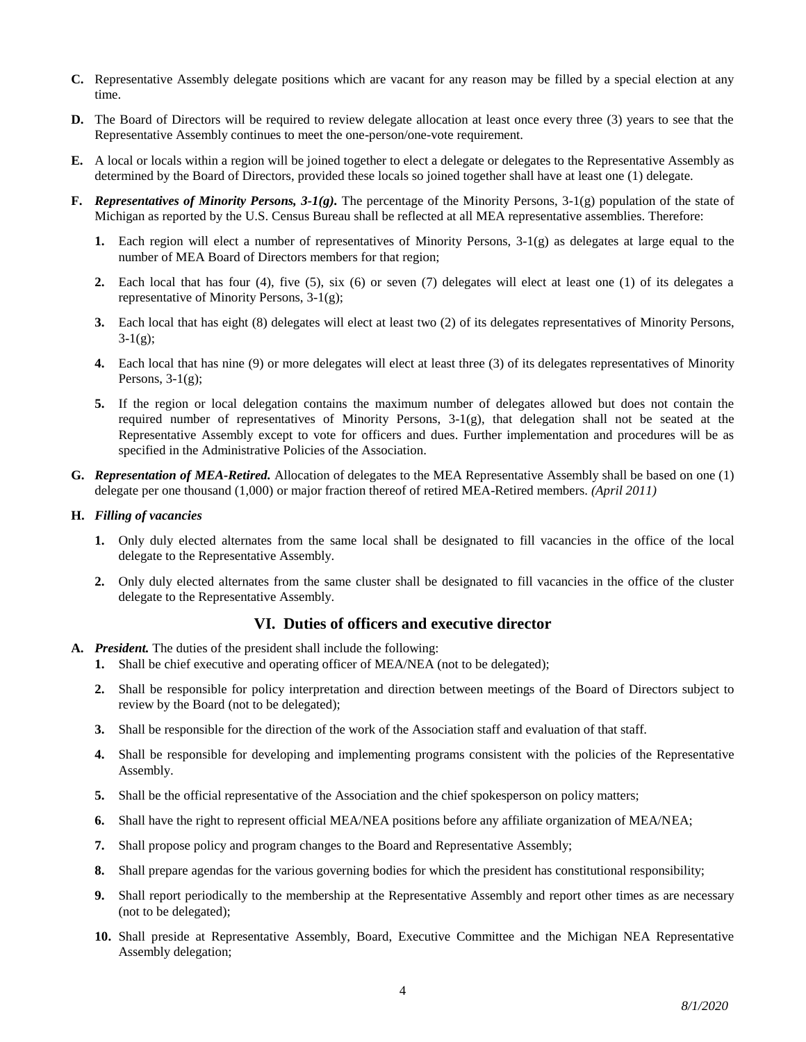- **C.** Representative Assembly delegate positions which are vacant for any reason may be filled by a special election at any time.
- **D.** The Board of Directors will be required to review delegate allocation at least once every three (3) years to see that the Representative Assembly continues to meet the one-person/one-vote requirement.
- **E.** A local or locals within a region will be joined together to elect a delegate or delegates to the Representative Assembly as determined by the Board of Directors, provided these locals so joined together shall have at least one (1) delegate.
- **F.** *Representatives of Minority Persons, 3-1(g).* The percentage of the Minority Persons, 3-1(g) population of the state of Michigan as reported by the U.S. Census Bureau shall be reflected at all MEA representative assemblies. Therefore:
	- **1.** Each region will elect a number of representatives of Minority Persons, 3-1(g) as delegates at large equal to the number of MEA Board of Directors members for that region;
	- **2.** Each local that has four (4), five (5), six (6) or seven (7) delegates will elect at least one (1) of its delegates a representative of Minority Persons, 3-1(g);
	- **3.** Each local that has eight (8) delegates will elect at least two (2) of its delegates representatives of Minority Persons,  $3-1(g);$
	- **4.** Each local that has nine (9) or more delegates will elect at least three (3) of its delegates representatives of Minority Persons,  $3-1(g)$ ;
	- **5.** If the region or local delegation contains the maximum number of delegates allowed but does not contain the required number of representatives of Minority Persons, 3-1(g), that delegation shall not be seated at the Representative Assembly except to vote for officers and dues. Further implementation and procedures will be as specified in the Administrative Policies of the Association.
- **G.** *Representation of MEA-Retired.* Allocation of delegates to the MEA Representative Assembly shall be based on one (1) delegate per one thousand (1,000) or major fraction thereof of retired MEA-Retired members. *(April 2011)*

#### **H.** *Filling of vacancies*

- **1.** Only duly elected alternates from the same local shall be designated to fill vacancies in the office of the local delegate to the Representative Assembly.
- **2.** Only duly elected alternates from the same cluster shall be designated to fill vacancies in the office of the cluster delegate to the Representative Assembly.

## **VI. Duties of officers and executive director**

- **A.** *President.* The duties of the president shall include the following:
	- **1.** Shall be chief executive and operating officer of MEA/NEA (not to be delegated);
	- **2.** Shall be responsible for policy interpretation and direction between meetings of the Board of Directors subject to review by the Board (not to be delegated);
	- **3.** Shall be responsible for the direction of the work of the Association staff and evaluation of that staff.
	- **4.** Shall be responsible for developing and implementing programs consistent with the policies of the Representative Assembly.
	- **5.** Shall be the official representative of the Association and the chief spokesperson on policy matters;
	- **6.** Shall have the right to represent official MEA/NEA positions before any affiliate organization of MEA/NEA;
	- **7.** Shall propose policy and program changes to the Board and Representative Assembly;
	- **8.** Shall prepare agendas for the various governing bodies for which the president has constitutional responsibility;
	- **9.** Shall report periodically to the membership at the Representative Assembly and report other times as are necessary (not to be delegated);
	- **10.** Shall preside at Representative Assembly, Board, Executive Committee and the Michigan NEA Representative Assembly delegation;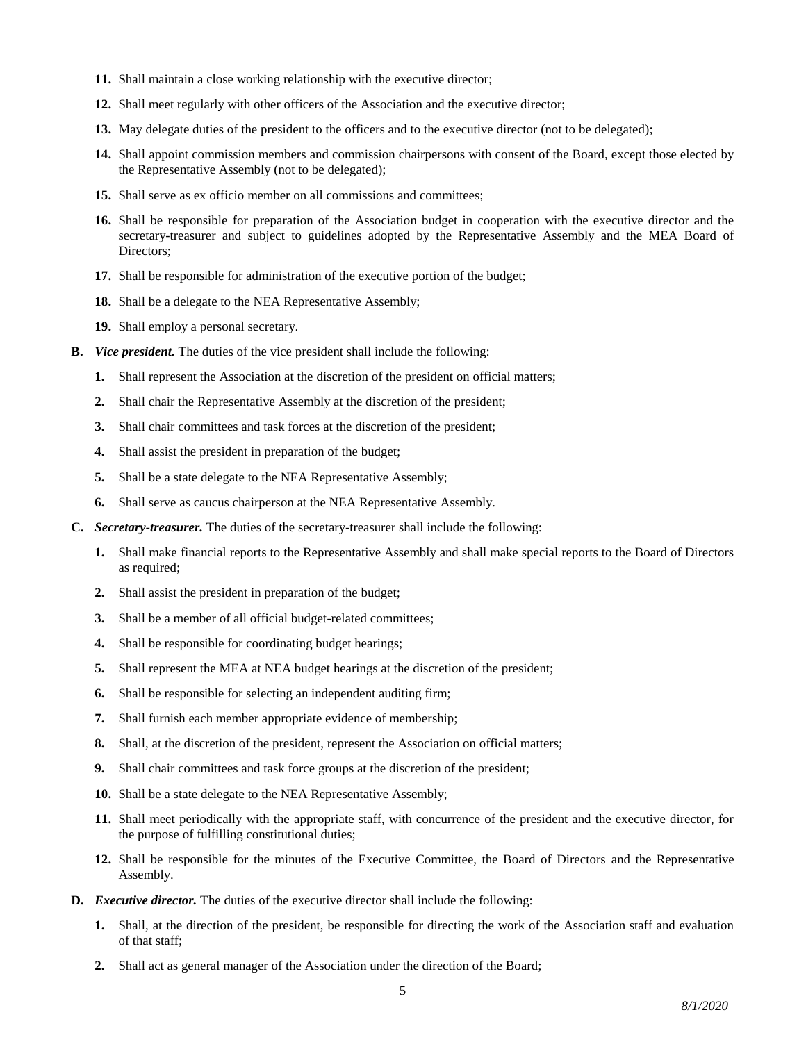- **11.** Shall maintain a close working relationship with the executive director;
- **12.** Shall meet regularly with other officers of the Association and the executive director;
- **13.** May delegate duties of the president to the officers and to the executive director (not to be delegated);
- **14.** Shall appoint commission members and commission chairpersons with consent of the Board, except those elected by the Representative Assembly (not to be delegated);
- **15.** Shall serve as ex officio member on all commissions and committees;
- **16.** Shall be responsible for preparation of the Association budget in cooperation with the executive director and the secretary-treasurer and subject to guidelines adopted by the Representative Assembly and the MEA Board of Directors;
- **17.** Shall be responsible for administration of the executive portion of the budget;
- **18.** Shall be a delegate to the NEA Representative Assembly;
- **19.** Shall employ a personal secretary.
- **B.** *Vice president.* The duties of the vice president shall include the following:
	- **1.** Shall represent the Association at the discretion of the president on official matters;
	- **2.** Shall chair the Representative Assembly at the discretion of the president;
	- **3.** Shall chair committees and task forces at the discretion of the president;
	- **4.** Shall assist the president in preparation of the budget;
	- **5.** Shall be a state delegate to the NEA Representative Assembly;
	- **6.** Shall serve as caucus chairperson at the NEA Representative Assembly.
- **C.** *Secretary-treasurer.* The duties of the secretary-treasurer shall include the following:
	- **1.** Shall make financial reports to the Representative Assembly and shall make special reports to the Board of Directors as required;
	- **2.** Shall assist the president in preparation of the budget;
	- **3.** Shall be a member of all official budget-related committees;
	- **4.** Shall be responsible for coordinating budget hearings;
	- **5.** Shall represent the MEA at NEA budget hearings at the discretion of the president;
	- **6.** Shall be responsible for selecting an independent auditing firm;
	- **7.** Shall furnish each member appropriate evidence of membership;
	- **8.** Shall, at the discretion of the president, represent the Association on official matters;
	- **9.** Shall chair committees and task force groups at the discretion of the president;
	- **10.** Shall be a state delegate to the NEA Representative Assembly;
	- **11.** Shall meet periodically with the appropriate staff, with concurrence of the president and the executive director, for the purpose of fulfilling constitutional duties;
	- **12.** Shall be responsible for the minutes of the Executive Committee, the Board of Directors and the Representative Assembly.
- **D.** *Executive director.* The duties of the executive director shall include the following:
	- **1.** Shall, at the direction of the president, be responsible for directing the work of the Association staff and evaluation of that staff;
	- **2.** Shall act as general manager of the Association under the direction of the Board;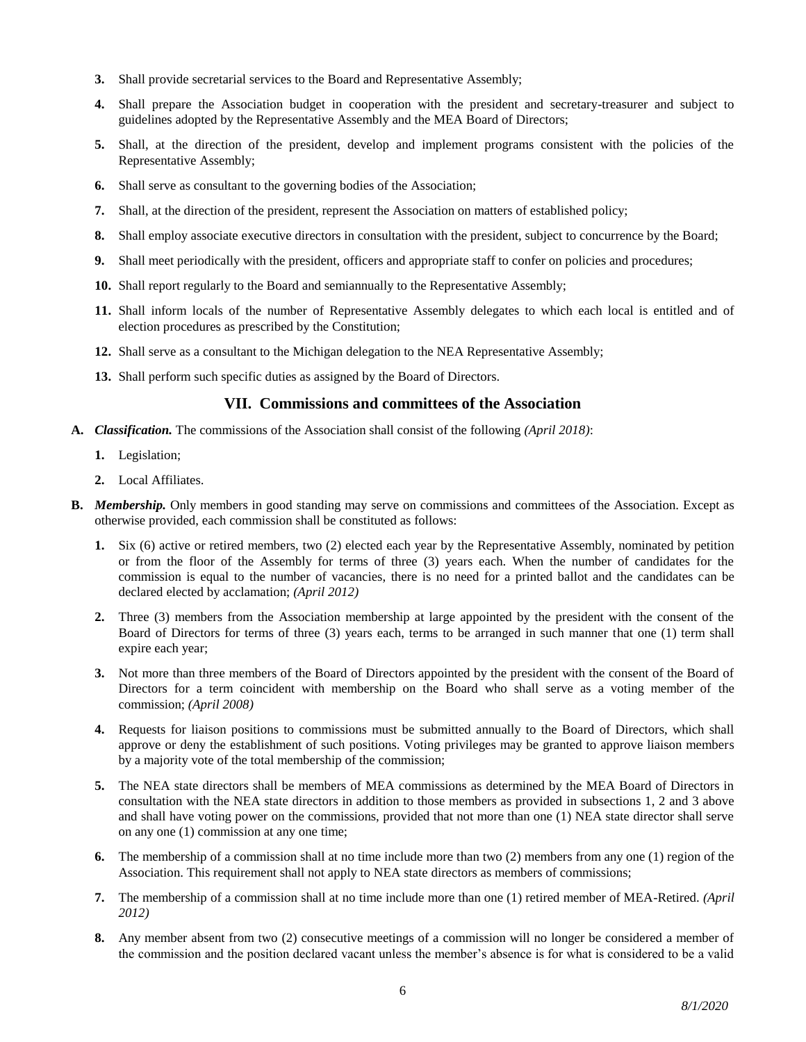- **3.** Shall provide secretarial services to the Board and Representative Assembly;
- **4.** Shall prepare the Association budget in cooperation with the president and secretary-treasurer and subject to guidelines adopted by the Representative Assembly and the MEA Board of Directors;
- **5.** Shall, at the direction of the president, develop and implement programs consistent with the policies of the Representative Assembly;
- **6.** Shall serve as consultant to the governing bodies of the Association;
- **7.** Shall, at the direction of the president, represent the Association on matters of established policy;
- **8.** Shall employ associate executive directors in consultation with the president, subject to concurrence by the Board;
- **9.** Shall meet periodically with the president, officers and appropriate staff to confer on policies and procedures;
- **10.** Shall report regularly to the Board and semiannually to the Representative Assembly;
- **11.** Shall inform locals of the number of Representative Assembly delegates to which each local is entitled and of election procedures as prescribed by the Constitution;
- **12.** Shall serve as a consultant to the Michigan delegation to the NEA Representative Assembly;
- **13.** Shall perform such specific duties as assigned by the Board of Directors.

## **VII. Commissions and committees of the Association**

- **A.** *Classification.* The commissions of the Association shall consist of the following *(April 2018)*:
	- **1.** Legislation;
	- **2.** Local Affiliates.
- **B.** *Membership.* Only members in good standing may serve on commissions and committees of the Association. Except as otherwise provided, each commission shall be constituted as follows:
	- **1.** Six (6) active or retired members, two (2) elected each year by the Representative Assembly, nominated by petition or from the floor of the Assembly for terms of three (3) years each. When the number of candidates for the commission is equal to the number of vacancies, there is no need for a printed ballot and the candidates can be declared elected by acclamation; *(April 2012)*
	- **2.** Three (3) members from the Association membership at large appointed by the president with the consent of the Board of Directors for terms of three (3) years each, terms to be arranged in such manner that one (1) term shall expire each year;
	- **3.** Not more than three members of the Board of Directors appointed by the president with the consent of the Board of Directors for a term coincident with membership on the Board who shall serve as a voting member of the commission; *(April 2008)*
	- **4.** Requests for liaison positions to commissions must be submitted annually to the Board of Directors, which shall approve or deny the establishment of such positions. Voting privileges may be granted to approve liaison members by a majority vote of the total membership of the commission;
	- **5.** The NEA state directors shall be members of MEA commissions as determined by the MEA Board of Directors in consultation with the NEA state directors in addition to those members as provided in subsections 1, 2 and 3 above and shall have voting power on the commissions, provided that not more than one (1) NEA state director shall serve on any one (1) commission at any one time;
	- **6.** The membership of a commission shall at no time include more than two (2) members from any one (1) region of the Association. This requirement shall not apply to NEA state directors as members of commissions;
	- **7.** The membership of a commission shall at no time include more than one (1) retired member of MEA-Retired. *(April 2012)*
	- **8.** Any member absent from two (2) consecutive meetings of a commission will no longer be considered a member of the commission and the position declared vacant unless the member's absence is for what is considered to be a valid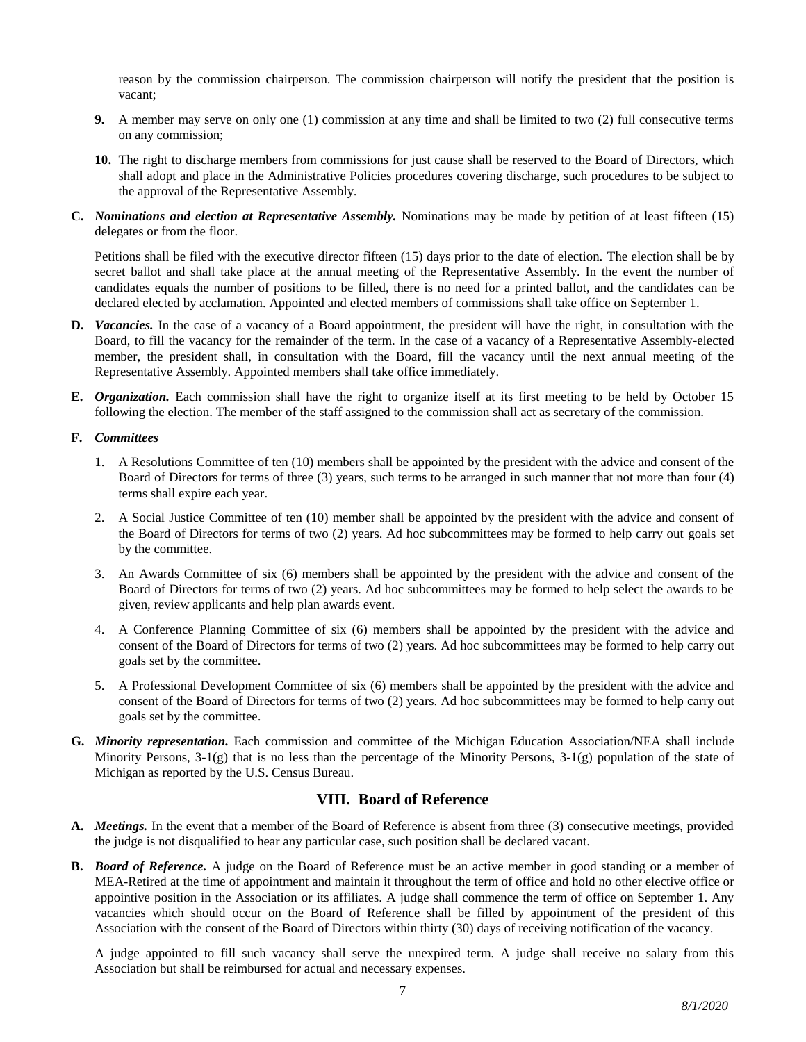reason by the commission chairperson. The commission chairperson will notify the president that the position is vacant;

- **9.** A member may serve on only one (1) commission at any time and shall be limited to two (2) full consecutive terms on any commission;
- **10.** The right to discharge members from commissions for just cause shall be reserved to the Board of Directors, which shall adopt and place in the Administrative Policies procedures covering discharge, such procedures to be subject to the approval of the Representative Assembly.
- **C.** *Nominations and election at Representative Assembly.* Nominations may be made by petition of at least fifteen (15) delegates or from the floor.

Petitions shall be filed with the executive director fifteen (15) days prior to the date of election. The election shall be by secret ballot and shall take place at the annual meeting of the Representative Assembly. In the event the number of candidates equals the number of positions to be filled, there is no need for a printed ballot, and the candidates can be declared elected by acclamation. Appointed and elected members of commissions shall take office on September 1.

- **D.** *Vacancies.* In the case of a vacancy of a Board appointment, the president will have the right, in consultation with the Board, to fill the vacancy for the remainder of the term. In the case of a vacancy of a Representative Assembly-elected member, the president shall, in consultation with the Board, fill the vacancy until the next annual meeting of the Representative Assembly. Appointed members shall take office immediately.
- **E.** *Organization.* Each commission shall have the right to organize itself at its first meeting to be held by October 15 following the election. The member of the staff assigned to the commission shall act as secretary of the commission.

#### **F.** *Committees*

- 1. A Resolutions Committee of ten (10) members shall be appointed by the president with the advice and consent of the Board of Directors for terms of three (3) years, such terms to be arranged in such manner that not more than four (4) terms shall expire each year.
- 2. A Social Justice Committee of ten (10) member shall be appointed by the president with the advice and consent of the Board of Directors for terms of two (2) years. Ad hoc subcommittees may be formed to help carry out goals set by the committee.
- 3. An Awards Committee of six (6) members shall be appointed by the president with the advice and consent of the Board of Directors for terms of two (2) years. Ad hoc subcommittees may be formed to help select the awards to be given, review applicants and help plan awards event.
- 4. A Conference Planning Committee of six (6) members shall be appointed by the president with the advice and consent of the Board of Directors for terms of two (2) years. Ad hoc subcommittees may be formed to help carry out goals set by the committee.
- 5. A Professional Development Committee of six (6) members shall be appointed by the president with the advice and consent of the Board of Directors for terms of two (2) years. Ad hoc subcommittees may be formed to help carry out goals set by the committee.
- **G.** *Minority representation.* Each commission and committee of the Michigan Education Association/NEA shall include Minority Persons,  $3-1(g)$  that is no less than the percentage of the Minority Persons,  $3-1(g)$  population of the state of Michigan as reported by the U.S. Census Bureau.

# **VIII. Board of Reference**

- **A.** *Meetings.* In the event that a member of the Board of Reference is absent from three (3) consecutive meetings, provided the judge is not disqualified to hear any particular case, such position shall be declared vacant.
- **B.** *Board of Reference.* A judge on the Board of Reference must be an active member in good standing or a member of MEA-Retired at the time of appointment and maintain it throughout the term of office and hold no other elective office or appointive position in the Association or its affiliates. A judge shall commence the term of office on September 1. Any vacancies which should occur on the Board of Reference shall be filled by appointment of the president of this Association with the consent of the Board of Directors within thirty (30) days of receiving notification of the vacancy.

A judge appointed to fill such vacancy shall serve the unexpired term. A judge shall receive no salary from this Association but shall be reimbursed for actual and necessary expenses.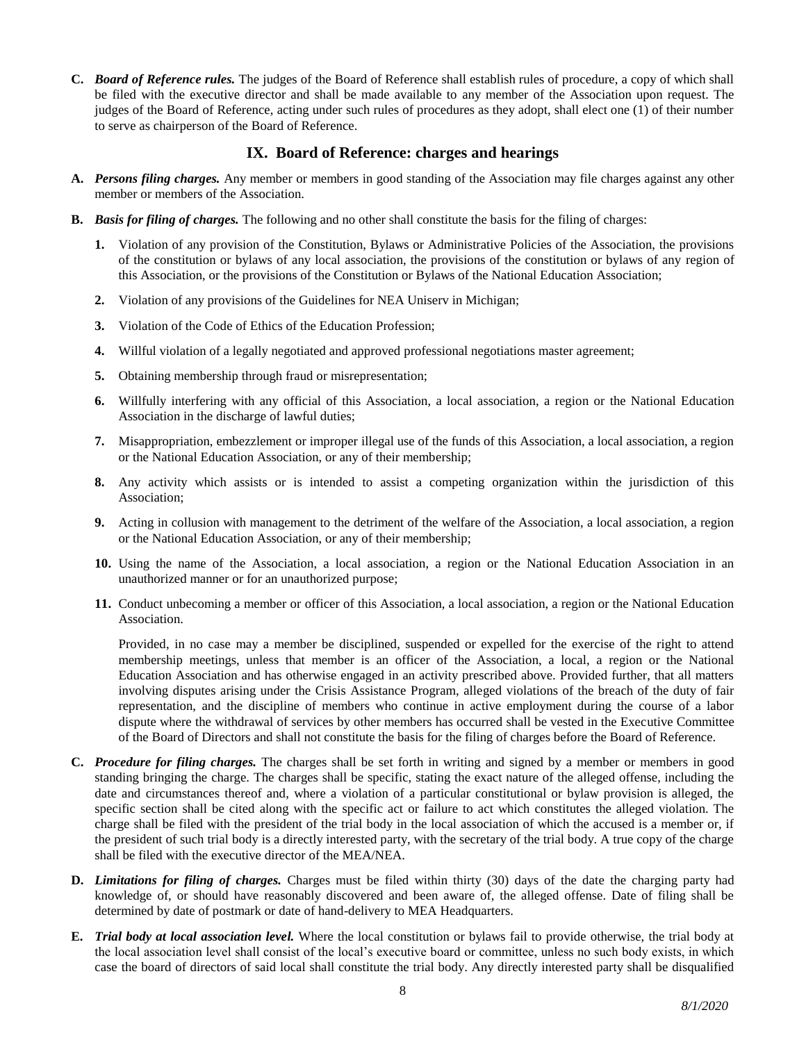**C.** *Board of Reference rules.* The judges of the Board of Reference shall establish rules of procedure, a copy of which shall be filed with the executive director and shall be made available to any member of the Association upon request. The judges of the Board of Reference, acting under such rules of procedures as they adopt, shall elect one (1) of their number to serve as chairperson of the Board of Reference.

# **IX. Board of Reference: charges and hearings**

- **A.** *Persons filing charges.* Any member or members in good standing of the Association may file charges against any other member or members of the Association.
- **B.** *Basis for filing of charges.* The following and no other shall constitute the basis for the filing of charges:
	- **1.** Violation of any provision of the Constitution, Bylaws or Administrative Policies of the Association, the provisions of the constitution or bylaws of any local association, the provisions of the constitution or bylaws of any region of this Association, or the provisions of the Constitution or Bylaws of the National Education Association;
	- **2.** Violation of any provisions of the Guidelines for NEA Uniserv in Michigan;
	- **3.** Violation of the Code of Ethics of the Education Profession;
	- **4.** Willful violation of a legally negotiated and approved professional negotiations master agreement;
	- **5.** Obtaining membership through fraud or misrepresentation;
	- **6.** Willfully interfering with any official of this Association, a local association, a region or the National Education Association in the discharge of lawful duties;
	- **7.** Misappropriation, embezzlement or improper illegal use of the funds of this Association, a local association, a region or the National Education Association, or any of their membership;
	- **8.** Any activity which assists or is intended to assist a competing organization within the jurisdiction of this Association;
	- **9.** Acting in collusion with management to the detriment of the welfare of the Association, a local association, a region or the National Education Association, or any of their membership;
	- **10.** Using the name of the Association, a local association, a region or the National Education Association in an unauthorized manner or for an unauthorized purpose;
	- **11.** Conduct unbecoming a member or officer of this Association, a local association, a region or the National Education Association.

Provided, in no case may a member be disciplined, suspended or expelled for the exercise of the right to attend membership meetings, unless that member is an officer of the Association, a local, a region or the National Education Association and has otherwise engaged in an activity prescribed above. Provided further, that all matters involving disputes arising under the Crisis Assistance Program, alleged violations of the breach of the duty of fair representation, and the discipline of members who continue in active employment during the course of a labor dispute where the withdrawal of services by other members has occurred shall be vested in the Executive Committee of the Board of Directors and shall not constitute the basis for the filing of charges before the Board of Reference.

- **C.** *Procedure for filing charges.* The charges shall be set forth in writing and signed by a member or members in good standing bringing the charge. The charges shall be specific, stating the exact nature of the alleged offense, including the date and circumstances thereof and, where a violation of a particular constitutional or bylaw provision is alleged, the specific section shall be cited along with the specific act or failure to act which constitutes the alleged violation. The charge shall be filed with the president of the trial body in the local association of which the accused is a member or, if the president of such trial body is a directly interested party, with the secretary of the trial body. A true copy of the charge shall be filed with the executive director of the MEA/NEA.
- **D.** *Limitations for filing of charges.* Charges must be filed within thirty (30) days of the date the charging party had knowledge of, or should have reasonably discovered and been aware of, the alleged offense. Date of filing shall be determined by date of postmark or date of hand-delivery to MEA Headquarters.
- **E.** *Trial body at local association level.* Where the local constitution or bylaws fail to provide otherwise, the trial body at the local association level shall consist of the local's executive board or committee, unless no such body exists, in which case the board of directors of said local shall constitute the trial body. Any directly interested party shall be disqualified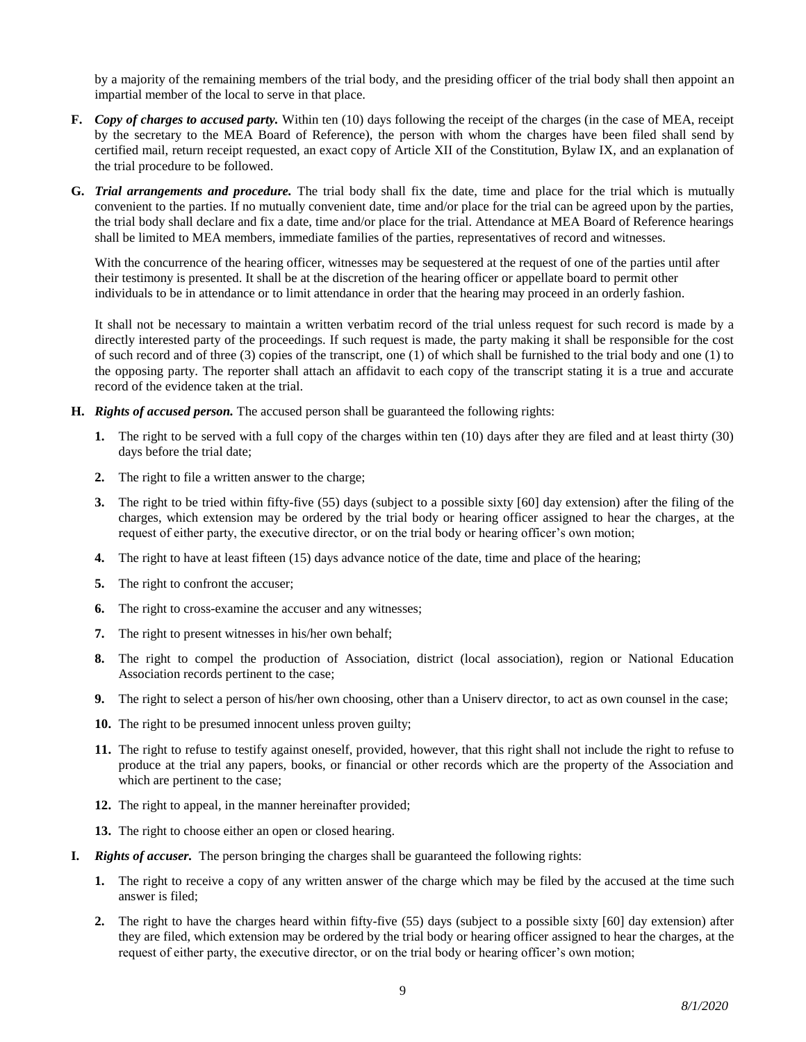by a majority of the remaining members of the trial body, and the presiding officer of the trial body shall then appoint an impartial member of the local to serve in that place.

- **F.** *Copy of charges to accused party.* Within ten (10) days following the receipt of the charges (in the case of MEA, receipt by the secretary to the MEA Board of Reference), the person with whom the charges have been filed shall send by certified mail, return receipt requested, an exact copy of Article XII of the Constitution, Bylaw IX, and an explanation of the trial procedure to be followed.
- **G.** *Trial arrangements and procedure.* The trial body shall fix the date, time and place for the trial which is mutually convenient to the parties. If no mutually convenient date, time and/or place for the trial can be agreed upon by the parties, the trial body shall declare and fix a date, time and/or place for the trial. Attendance at MEA Board of Reference hearings shall be limited to MEA members, immediate families of the parties, representatives of record and witnesses.

With the concurrence of the hearing officer, witnesses may be sequestered at the request of one of the parties until after their testimony is presented. It shall be at the discretion of the hearing officer or appellate board to permit other individuals to be in attendance or to limit attendance in order that the hearing may proceed in an orderly fashion.

It shall not be necessary to maintain a written verbatim record of the trial unless request for such record is made by a directly interested party of the proceedings. If such request is made, the party making it shall be responsible for the cost of such record and of three (3) copies of the transcript, one (1) of which shall be furnished to the trial body and one (1) to the opposing party. The reporter shall attach an affidavit to each copy of the transcript stating it is a true and accurate record of the evidence taken at the trial.

- **H.** *Rights of accused person.* The accused person shall be guaranteed the following rights:
	- **1.** The right to be served with a full copy of the charges within ten (10) days after they are filed and at least thirty (30) days before the trial date;
	- **2.** The right to file a written answer to the charge;
	- **3.** The right to be tried within fifty-five (55) days (subject to a possible sixty [60] day extension) after the filing of the charges, which extension may be ordered by the trial body or hearing officer assigned to hear the charges, at the request of either party, the executive director, or on the trial body or hearing officer's own motion;
	- **4.** The right to have at least fifteen (15) days advance notice of the date, time and place of the hearing;
	- **5.** The right to confront the accuser;
	- **6.** The right to cross-examine the accuser and any witnesses;
	- **7.** The right to present witnesses in his/her own behalf;
	- **8.** The right to compel the production of Association, district (local association), region or National Education Association records pertinent to the case;
	- **9.** The right to select a person of his/her own choosing, other than a Uniserv director, to act as own counsel in the case;
	- **10.** The right to be presumed innocent unless proven guilty;
	- **11.** The right to refuse to testify against oneself, provided, however, that this right shall not include the right to refuse to produce at the trial any papers, books, or financial or other records which are the property of the Association and which are pertinent to the case;
	- **12.** The right to appeal, in the manner hereinafter provided;
	- **13.** The right to choose either an open or closed hearing.
- **I.** *Rights of accuser.* The person bringing the charges shall be guaranteed the following rights:
	- **1.** The right to receive a copy of any written answer of the charge which may be filed by the accused at the time such answer is filed;
	- **2.** The right to have the charges heard within fifty-five (55) days (subject to a possible sixty [60] day extension) after they are filed, which extension may be ordered by the trial body or hearing officer assigned to hear the charges, at the request of either party, the executive director, or on the trial body or hearing officer's own motion;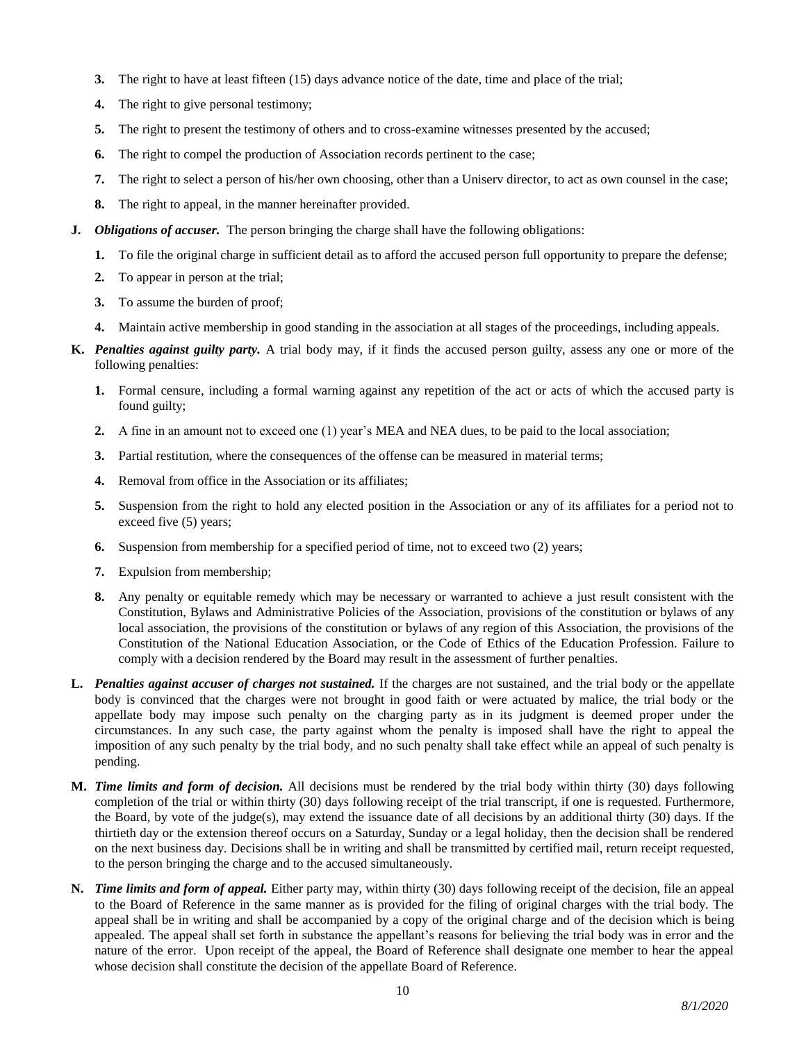- **3.** The right to have at least fifteen (15) days advance notice of the date, time and place of the trial;
- **4.** The right to give personal testimony;
- **5.** The right to present the testimony of others and to cross-examine witnesses presented by the accused;
- **6.** The right to compel the production of Association records pertinent to the case;
- **7.** The right to select a person of his/her own choosing, other than a Uniserv director, to act as own counsel in the case;
- **8.** The right to appeal, in the manner hereinafter provided.
- **J.** *Obligations of accuser.* The person bringing the charge shall have the following obligations:
	- **1.** To file the original charge in sufficient detail as to afford the accused person full opportunity to prepare the defense;
	- **2.** To appear in person at the trial;
	- **3.** To assume the burden of proof;
	- **4.** Maintain active membership in good standing in the association at all stages of the proceedings, including appeals.
- **K.** *Penalties against guilty party.* A trial body may, if it finds the accused person guilty, assess any one or more of the following penalties:
	- **1.** Formal censure, including a formal warning against any repetition of the act or acts of which the accused party is found guilty;
	- **2.** A fine in an amount not to exceed one (1) year's MEA and NEA dues, to be paid to the local association;
	- **3.** Partial restitution, where the consequences of the offense can be measured in material terms;
	- **4.** Removal from office in the Association or its affiliates;
	- **5.** Suspension from the right to hold any elected position in the Association or any of its affiliates for a period not to exceed five (5) years;
	- **6.** Suspension from membership for a specified period of time, not to exceed two (2) years;
	- **7.** Expulsion from membership;
	- **8.** Any penalty or equitable remedy which may be necessary or warranted to achieve a just result consistent with the Constitution, Bylaws and Administrative Policies of the Association, provisions of the constitution or bylaws of any local association, the provisions of the constitution or bylaws of any region of this Association, the provisions of the Constitution of the National Education Association, or the Code of Ethics of the Education Profession. Failure to comply with a decision rendered by the Board may result in the assessment of further penalties.
- **L.** *Penalties against accuser of charges not sustained.* If the charges are not sustained, and the trial body or the appellate body is convinced that the charges were not brought in good faith or were actuated by malice, the trial body or the appellate body may impose such penalty on the charging party as in its judgment is deemed proper under the circumstances. In any such case, the party against whom the penalty is imposed shall have the right to appeal the imposition of any such penalty by the trial body, and no such penalty shall take effect while an appeal of such penalty is pending.
- **M.** *Time limits and form of decision.* All decisions must be rendered by the trial body within thirty (30) days following completion of the trial or within thirty (30) days following receipt of the trial transcript, if one is requested. Furthermore, the Board, by vote of the judge(s), may extend the issuance date of all decisions by an additional thirty (30) days. If the thirtieth day or the extension thereof occurs on a Saturday, Sunday or a legal holiday, then the decision shall be rendered on the next business day. Decisions shall be in writing and shall be transmitted by certified mail, return receipt requested, to the person bringing the charge and to the accused simultaneously.
- **N.** *Time limits and form of appeal.* Either party may, within thirty (30) days following receipt of the decision, file an appeal to the Board of Reference in the same manner as is provided for the filing of original charges with the trial body. The appeal shall be in writing and shall be accompanied by a copy of the original charge and of the decision which is being appealed. The appeal shall set forth in substance the appellant's reasons for believing the trial body was in error and the nature of the error. Upon receipt of the appeal, the Board of Reference shall designate one member to hear the appeal whose decision shall constitute the decision of the appellate Board of Reference.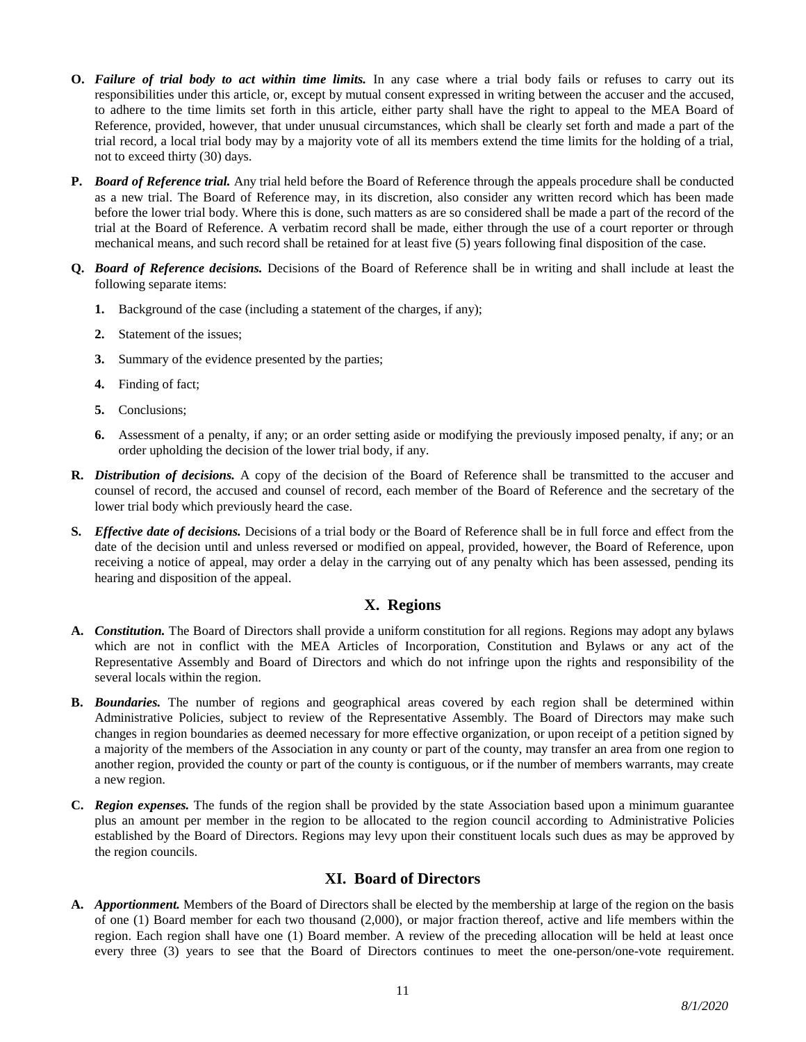- **O.** *Failure of trial body to act within time limits.* In any case where a trial body fails or refuses to carry out its responsibilities under this article, or, except by mutual consent expressed in writing between the accuser and the accused, to adhere to the time limits set forth in this article, either party shall have the right to appeal to the MEA Board of Reference, provided, however, that under unusual circumstances, which shall be clearly set forth and made a part of the trial record, a local trial body may by a majority vote of all its members extend the time limits for the holding of a trial, not to exceed thirty (30) days.
- **P.** *Board of Reference trial.* Any trial held before the Board of Reference through the appeals procedure shall be conducted as a new trial. The Board of Reference may, in its discretion, also consider any written record which has been made before the lower trial body. Where this is done, such matters as are so considered shall be made a part of the record of the trial at the Board of Reference. A verbatim record shall be made, either through the use of a court reporter or through mechanical means, and such record shall be retained for at least five (5) years following final disposition of the case.
- **Q.** *Board of Reference decisions.* Decisions of the Board of Reference shall be in writing and shall include at least the following separate items:
	- **1.** Background of the case (including a statement of the charges, if any);
	- **2.** Statement of the issues;
	- **3.** Summary of the evidence presented by the parties;
	- **4.** Finding of fact;
	- **5.** Conclusions;
	- **6.** Assessment of a penalty, if any; or an order setting aside or modifying the previously imposed penalty, if any; or an order upholding the decision of the lower trial body, if any.
- **R.** *Distribution of decisions.* A copy of the decision of the Board of Reference shall be transmitted to the accuser and counsel of record, the accused and counsel of record, each member of the Board of Reference and the secretary of the lower trial body which previously heard the case.
- **S.** *Effective date of decisions.* Decisions of a trial body or the Board of Reference shall be in full force and effect from the date of the decision until and unless reversed or modified on appeal, provided, however, the Board of Reference, upon receiving a notice of appeal, may order a delay in the carrying out of any penalty which has been assessed, pending its hearing and disposition of the appeal.

# **X. Regions**

- **A.** *Constitution.* The Board of Directors shall provide a uniform constitution for all regions. Regions may adopt any bylaws which are not in conflict with the MEA Articles of Incorporation, Constitution and Bylaws or any act of the Representative Assembly and Board of Directors and which do not infringe upon the rights and responsibility of the several locals within the region.
- **B.** *Boundaries.* The number of regions and geographical areas covered by each region shall be determined within Administrative Policies, subject to review of the Representative Assembly. The Board of Directors may make such changes in region boundaries as deemed necessary for more effective organization, or upon receipt of a petition signed by a majority of the members of the Association in any county or part of the county, may transfer an area from one region to another region, provided the county or part of the county is contiguous, or if the number of members warrants, may create a new region.
- **C.** *Region expenses.* The funds of the region shall be provided by the state Association based upon a minimum guarantee plus an amount per member in the region to be allocated to the region council according to Administrative Policies established by the Board of Directors. Regions may levy upon their constituent locals such dues as may be approved by the region councils.

# **XI. Board of Directors**

**A.** *Apportionment.* Members of the Board of Directors shall be elected by the membership at large of the region on the basis of one (1) Board member for each two thousand (2,000), or major fraction thereof, active and life members within the region. Each region shall have one (1) Board member. A review of the preceding allocation will be held at least once every three (3) years to see that the Board of Directors continues to meet the one-person/one-vote requirement.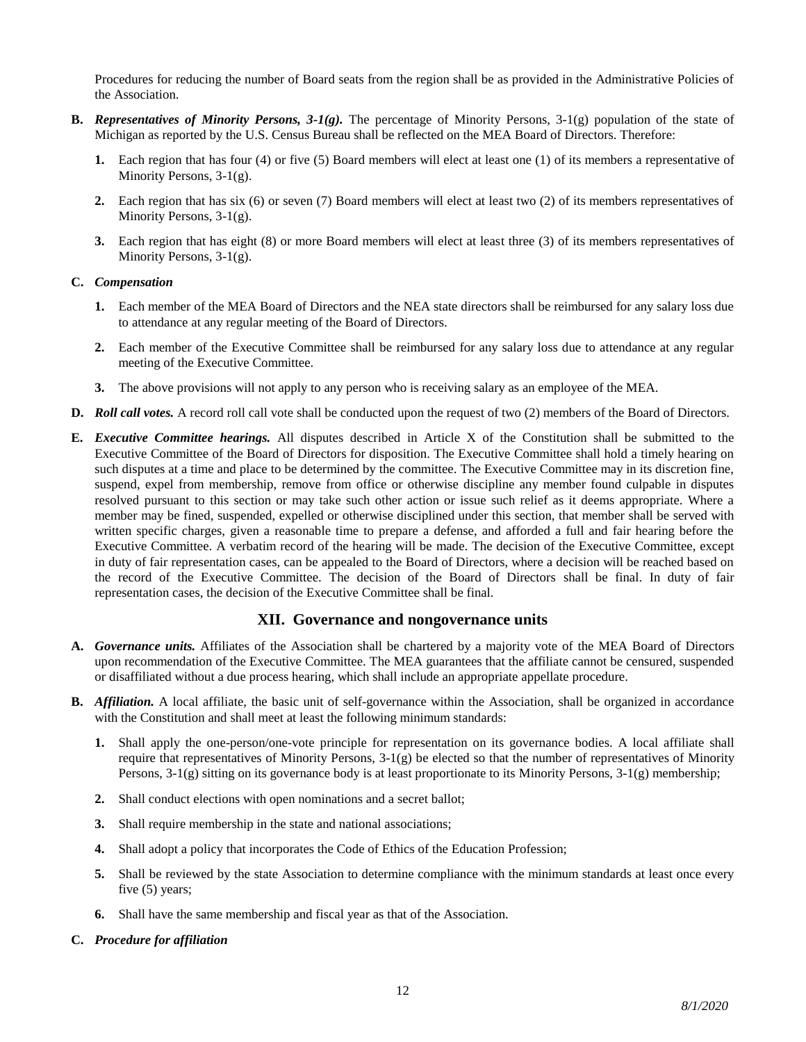Procedures for reducing the number of Board seats from the region shall be as provided in the Administrative Policies of the Association.

- **B.** *Representatives of Minority Persons, 3-1(g).* The percentage of Minority Persons, 3-1(g) population of the state of Michigan as reported by the U.S. Census Bureau shall be reflected on the MEA Board of Directors. Therefore:
	- **1.** Each region that has four (4) or five (5) Board members will elect at least one (1) of its members a representative of Minority Persons, 3-1(g).
	- **2.** Each region that has six (6) or seven (7) Board members will elect at least two (2) of its members representatives of Minority Persons, 3-1(g).
	- **3.** Each region that has eight (8) or more Board members will elect at least three (3) of its members representatives of Minority Persons, 3-1(g).

### **C.** *Compensation*

- **1.** Each member of the MEA Board of Directors and the NEA state directors shall be reimbursed for any salary loss due to attendance at any regular meeting of the Board of Directors.
- **2.** Each member of the Executive Committee shall be reimbursed for any salary loss due to attendance at any regular meeting of the Executive Committee.
- **3.** The above provisions will not apply to any person who is receiving salary as an employee of the MEA.
- **D.** *Roll call votes.* A record roll call vote shall be conducted upon the request of two (2) members of the Board of Directors.
- **E.** *Executive Committee hearings.* All disputes described in Article X of the Constitution shall be submitted to the Executive Committee of the Board of Directors for disposition. The Executive Committee shall hold a timely hearing on such disputes at a time and place to be determined by the committee. The Executive Committee may in its discretion fine, suspend, expel from membership, remove from office or otherwise discipline any member found culpable in disputes resolved pursuant to this section or may take such other action or issue such relief as it deems appropriate. Where a member may be fined, suspended, expelled or otherwise disciplined under this section, that member shall be served with written specific charges, given a reasonable time to prepare a defense, and afforded a full and fair hearing before the Executive Committee. A verbatim record of the hearing will be made. The decision of the Executive Committee, except in duty of fair representation cases, can be appealed to the Board of Directors, where a decision will be reached based on the record of the Executive Committee. The decision of the Board of Directors shall be final. In duty of fair representation cases, the decision of the Executive Committee shall be final.

# **XII. Governance and nongovernance units**

- **A.** *Governance units.* Affiliates of the Association shall be chartered by a majority vote of the MEA Board of Directors upon recommendation of the Executive Committee. The MEA guarantees that the affiliate cannot be censured, suspended or disaffiliated without a due process hearing, which shall include an appropriate appellate procedure.
- **B.** *Affiliation.* A local affiliate, the basic unit of self-governance within the Association, shall be organized in accordance with the Constitution and shall meet at least the following minimum standards:
	- **1.** Shall apply the one-person/one-vote principle for representation on its governance bodies. A local affiliate shall require that representatives of Minority Persons, 3-1(g) be elected so that the number of representatives of Minority Persons, 3-1(g) sitting on its governance body is at least proportionate to its Minority Persons, 3-1(g) membership;
	- **2.** Shall conduct elections with open nominations and a secret ballot;
	- **3.** Shall require membership in the state and national associations;
	- **4.** Shall adopt a policy that incorporates the Code of Ethics of the Education Profession;
	- **5.** Shall be reviewed by the state Association to determine compliance with the minimum standards at least once every five (5) years;
	- **6.** Shall have the same membership and fiscal year as that of the Association.
- **C.** *Procedure for affiliation*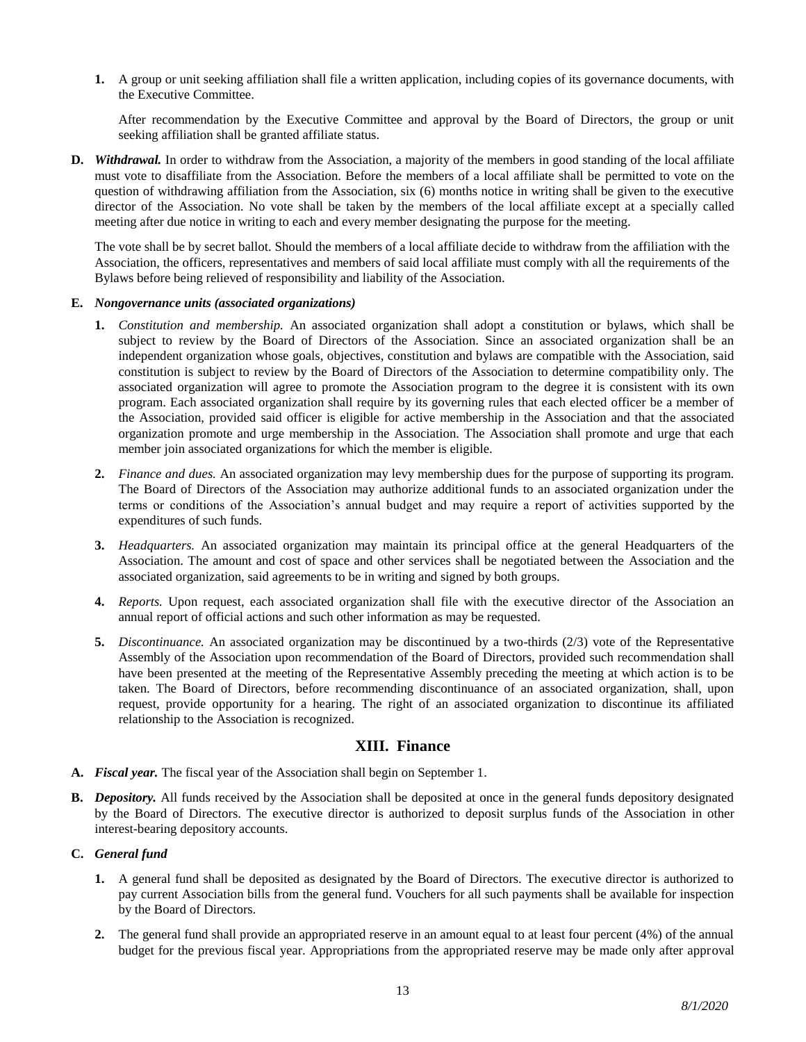**1.** A group or unit seeking affiliation shall file a written application, including copies of its governance documents, with the Executive Committee.

After recommendation by the Executive Committee and approval by the Board of Directors, the group or unit seeking affiliation shall be granted affiliate status.

**D.** *Withdrawal.* In order to withdraw from the Association, a majority of the members in good standing of the local affiliate must vote to disaffiliate from the Association. Before the members of a local affiliate shall be permitted to vote on the question of withdrawing affiliation from the Association, six (6) months notice in writing shall be given to the executive director of the Association. No vote shall be taken by the members of the local affiliate except at a specially called meeting after due notice in writing to each and every member designating the purpose for the meeting.

The vote shall be by secret ballot. Should the members of a local affiliate decide to withdraw from the affiliation with the Association, the officers, representatives and members of said local affiliate must comply with all the requirements of the Bylaws before being relieved of responsibility and liability of the Association.

#### **E.** *Nongovernance units (associated organizations)*

- **1.** *Constitution and membership.* An associated organization shall adopt a constitution or bylaws, which shall be subject to review by the Board of Directors of the Association. Since an associated organization shall be an independent organization whose goals, objectives, constitution and bylaws are compatible with the Association, said constitution is subject to review by the Board of Directors of the Association to determine compatibility only. The associated organization will agree to promote the Association program to the degree it is consistent with its own program. Each associated organization shall require by its governing rules that each elected officer be a member of the Association, provided said officer is eligible for active membership in the Association and that the associated organization promote and urge membership in the Association. The Association shall promote and urge that each member join associated organizations for which the member is eligible.
- **2.** *Finance and dues.* An associated organization may levy membership dues for the purpose of supporting its program. The Board of Directors of the Association may authorize additional funds to an associated organization under the terms or conditions of the Association's annual budget and may require a report of activities supported by the expenditures of such funds.
- **3.** *Headquarters.* An associated organization may maintain its principal office at the general Headquarters of the Association. The amount and cost of space and other services shall be negotiated between the Association and the associated organization, said agreements to be in writing and signed by both groups.
- **4.** *Reports.* Upon request, each associated organization shall file with the executive director of the Association an annual report of official actions and such other information as may be requested.
- **5.** *Discontinuance.* An associated organization may be discontinued by a two-thirds (2/3) vote of the Representative Assembly of the Association upon recommendation of the Board of Directors, provided such recommendation shall have been presented at the meeting of the Representative Assembly preceding the meeting at which action is to be taken. The Board of Directors, before recommending discontinuance of an associated organization, shall, upon request, provide opportunity for a hearing. The right of an associated organization to discontinue its affiliated relationship to the Association is recognized.

## **XIII. Finance**

- **A.** *Fiscal year.* The fiscal year of the Association shall begin on September 1.
- **B.** *Depository.* All funds received by the Association shall be deposited at once in the general funds depository designated by the Board of Directors. The executive director is authorized to deposit surplus funds of the Association in other interest-bearing depository accounts.
- **C.** *General fund*
	- **1.** A general fund shall be deposited as designated by the Board of Directors. The executive director is authorized to pay current Association bills from the general fund. Vouchers for all such payments shall be available for inspection by the Board of Directors.
	- **2.** The general fund shall provide an appropriated reserve in an amount equal to at least four percent (4%) of the annual budget for the previous fiscal year. Appropriations from the appropriated reserve may be made only after approval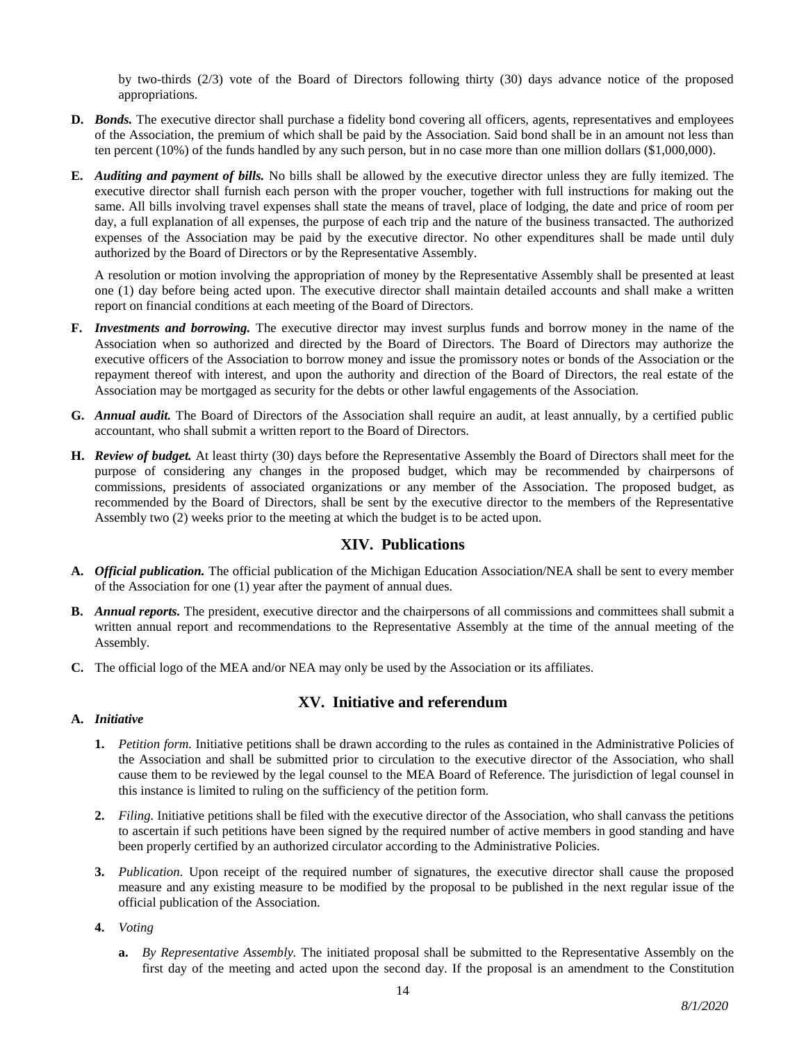by two-thirds (2/3) vote of the Board of Directors following thirty (30) days advance notice of the proposed appropriations.

- **D.** *Bonds.* The executive director shall purchase a fidelity bond covering all officers, agents, representatives and employees of the Association, the premium of which shall be paid by the Association. Said bond shall be in an amount not less than ten percent (10%) of the funds handled by any such person, but in no case more than one million dollars (\$1,000,000).
- **E.** *Auditing and payment of bills.* No bills shall be allowed by the executive director unless they are fully itemized. The executive director shall furnish each person with the proper voucher, together with full instructions for making out the same. All bills involving travel expenses shall state the means of travel, place of lodging, the date and price of room per day, a full explanation of all expenses, the purpose of each trip and the nature of the business transacted. The authorized expenses of the Association may be paid by the executive director. No other expenditures shall be made until duly authorized by the Board of Directors or by the Representative Assembly.

A resolution or motion involving the appropriation of money by the Representative Assembly shall be presented at least one (1) day before being acted upon. The executive director shall maintain detailed accounts and shall make a written report on financial conditions at each meeting of the Board of Directors.

- **F.** *Investments and borrowing.* The executive director may invest surplus funds and borrow money in the name of the Association when so authorized and directed by the Board of Directors. The Board of Directors may authorize the executive officers of the Association to borrow money and issue the promissory notes or bonds of the Association or the repayment thereof with interest, and upon the authority and direction of the Board of Directors, the real estate of the Association may be mortgaged as security for the debts or other lawful engagements of the Association.
- **G.** *Annual audit.* The Board of Directors of the Association shall require an audit, at least annually, by a certified public accountant, who shall submit a written report to the Board of Directors.
- **H.** *Review of budget.* At least thirty (30) days before the Representative Assembly the Board of Directors shall meet for the purpose of considering any changes in the proposed budget, which may be recommended by chairpersons of commissions, presidents of associated organizations or any member of the Association. The proposed budget, as recommended by the Board of Directors, shall be sent by the executive director to the members of the Representative Assembly two (2) weeks prior to the meeting at which the budget is to be acted upon.

# **XIV. Publications**

- **A.** *Official publication.* The official publication of the Michigan Education Association/NEA shall be sent to every member of the Association for one (1) year after the payment of annual dues.
- **B.** *Annual reports.* The president, executive director and the chairpersons of all commissions and committees shall submit a written annual report and recommendations to the Representative Assembly at the time of the annual meeting of the Assembly.
- **C.** The official logo of the MEA and/or NEA may only be used by the Association or its affiliates.

## **A.** *Initiative*

# **XV. Initiative and referendum**

- **1.** *Petition form.* Initiative petitions shall be drawn according to the rules as contained in the Administrative Policies of the Association and shall be submitted prior to circulation to the executive director of the Association, who shall cause them to be reviewed by the legal counsel to the MEA Board of Reference. The jurisdiction of legal counsel in this instance is limited to ruling on the sufficiency of the petition form.
- **2.** *Filing.* Initiative petitions shall be filed with the executive director of the Association, who shall canvass the petitions to ascertain if such petitions have been signed by the required number of active members in good standing and have been properly certified by an authorized circulator according to the Administrative Policies.
- **3.** *Publication.* Upon receipt of the required number of signatures, the executive director shall cause the proposed measure and any existing measure to be modified by the proposal to be published in the next regular issue of the official publication of the Association.
- **4.** *Voting* 
	- **a.** *By Representative Assembly.* The initiated proposal shall be submitted to the Representative Assembly on the first day of the meeting and acted upon the second day. If the proposal is an amendment to the Constitution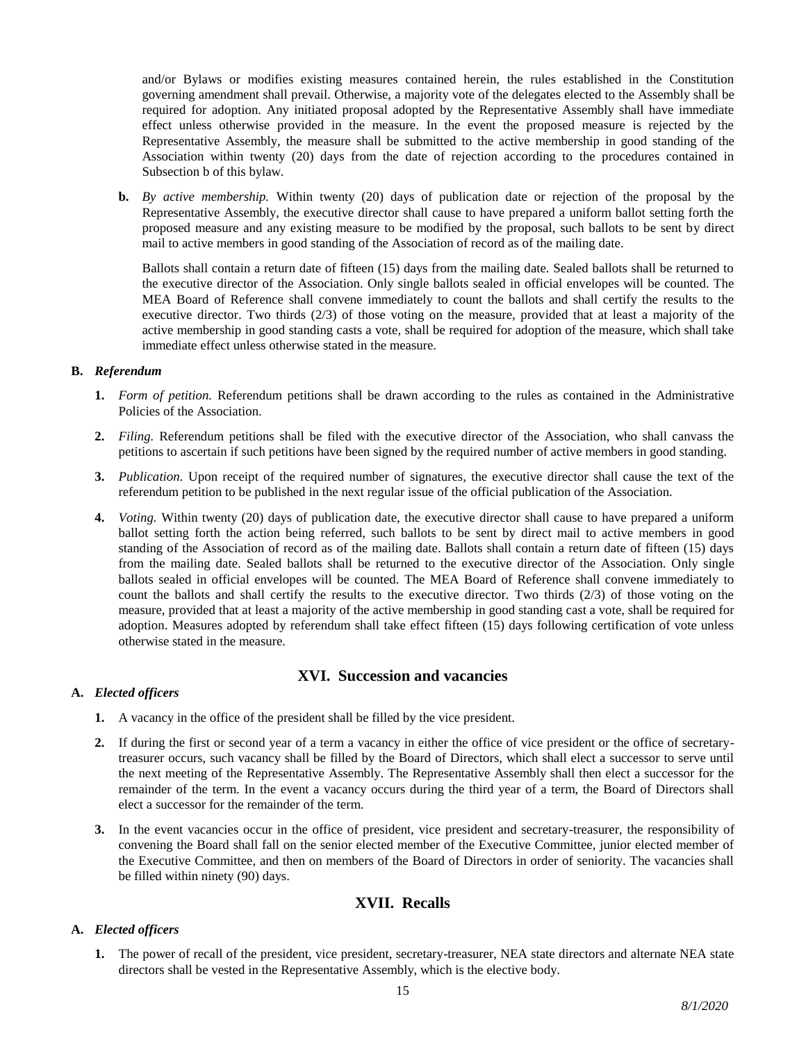and/or Bylaws or modifies existing measures contained herein, the rules established in the Constitution governing amendment shall prevail. Otherwise, a majority vote of the delegates elected to the Assembly shall be required for adoption. Any initiated proposal adopted by the Representative Assembly shall have immediate effect unless otherwise provided in the measure. In the event the proposed measure is rejected by the Representative Assembly, the measure shall be submitted to the active membership in good standing of the Association within twenty (20) days from the date of rejection according to the procedures contained in Subsection b of this bylaw.

**b.** *By active membership.* Within twenty (20) days of publication date or rejection of the proposal by the Representative Assembly, the executive director shall cause to have prepared a uniform ballot setting forth the proposed measure and any existing measure to be modified by the proposal, such ballots to be sent by direct mail to active members in good standing of the Association of record as of the mailing date.

Ballots shall contain a return date of fifteen (15) days from the mailing date. Sealed ballots shall be returned to the executive director of the Association. Only single ballots sealed in official envelopes will be counted. The MEA Board of Reference shall convene immediately to count the ballots and shall certify the results to the executive director. Two thirds (2/3) of those voting on the measure, provided that at least a majority of the active membership in good standing casts a vote, shall be required for adoption of the measure, which shall take immediate effect unless otherwise stated in the measure.

## **B.** *Referendum*

- **1.** *Form of petition.* Referendum petitions shall be drawn according to the rules as contained in the Administrative Policies of the Association.
- **2.** *Filing.* Referendum petitions shall be filed with the executive director of the Association, who shall canvass the petitions to ascertain if such petitions have been signed by the required number of active members in good standing.
- **3.** *Publication.* Upon receipt of the required number of signatures, the executive director shall cause the text of the referendum petition to be published in the next regular issue of the official publication of the Association.
- **4.** *Voting.* Within twenty (20) days of publication date, the executive director shall cause to have prepared a uniform ballot setting forth the action being referred, such ballots to be sent by direct mail to active members in good standing of the Association of record as of the mailing date. Ballots shall contain a return date of fifteen (15) days from the mailing date. Sealed ballots shall be returned to the executive director of the Association. Only single ballots sealed in official envelopes will be counted. The MEA Board of Reference shall convene immediately to count the ballots and shall certify the results to the executive director. Two thirds (2/3) of those voting on the measure, provided that at least a majority of the active membership in good standing cast a vote, shall be required for adoption. Measures adopted by referendum shall take effect fifteen (15) days following certification of vote unless otherwise stated in the measure.

# **XVI. Succession and vacancies**

## **A.** *Elected officers*

- **1.** A vacancy in the office of the president shall be filled by the vice president.
- **2.** If during the first or second year of a term a vacancy in either the office of vice president or the office of secretarytreasurer occurs, such vacancy shall be filled by the Board of Directors, which shall elect a successor to serve until the next meeting of the Representative Assembly. The Representative Assembly shall then elect a successor for the remainder of the term. In the event a vacancy occurs during the third year of a term, the Board of Directors shall elect a successor for the remainder of the term.
- **3.** In the event vacancies occur in the office of president, vice president and secretary-treasurer, the responsibility of convening the Board shall fall on the senior elected member of the Executive Committee, junior elected member of the Executive Committee, and then on members of the Board of Directors in order of seniority. The vacancies shall be filled within ninety (90) days.

# **XVII. Recalls**

## **A.** *Elected officers*

**1.** The power of recall of the president, vice president, secretary-treasurer, NEA state directors and alternate NEA state directors shall be vested in the Representative Assembly, which is the elective body.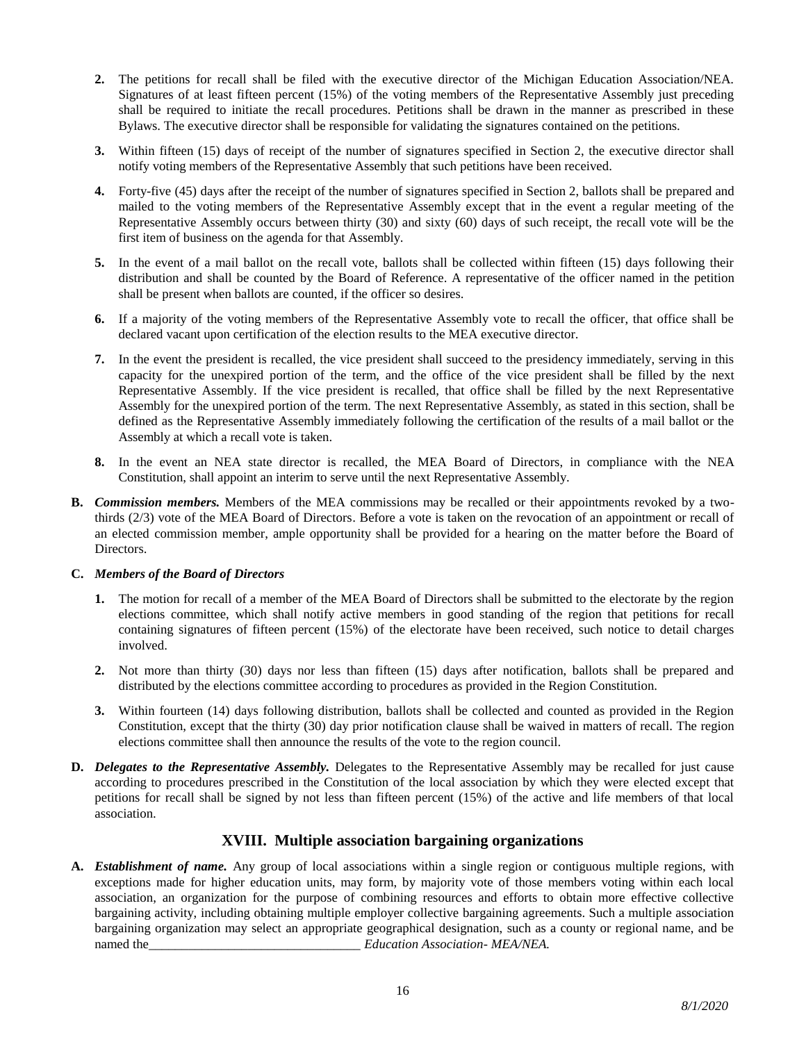- **2.** The petitions for recall shall be filed with the executive director of the Michigan Education Association/NEA. Signatures of at least fifteen percent (15%) of the voting members of the Representative Assembly just preceding shall be required to initiate the recall procedures. Petitions shall be drawn in the manner as prescribed in these Bylaws. The executive director shall be responsible for validating the signatures contained on the petitions.
- **3.** Within fifteen (15) days of receipt of the number of signatures specified in Section 2, the executive director shall notify voting members of the Representative Assembly that such petitions have been received.
- **4.** Forty-five (45) days after the receipt of the number of signatures specified in Section 2, ballots shall be prepared and mailed to the voting members of the Representative Assembly except that in the event a regular meeting of the Representative Assembly occurs between thirty (30) and sixty (60) days of such receipt, the recall vote will be the first item of business on the agenda for that Assembly.
- **5.** In the event of a mail ballot on the recall vote, ballots shall be collected within fifteen (15) days following their distribution and shall be counted by the Board of Reference. A representative of the officer named in the petition shall be present when ballots are counted, if the officer so desires.
- **6.** If a majority of the voting members of the Representative Assembly vote to recall the officer, that office shall be declared vacant upon certification of the election results to the MEA executive director.
- **7.** In the event the president is recalled, the vice president shall succeed to the presidency immediately, serving in this capacity for the unexpired portion of the term, and the office of the vice president shall be filled by the next Representative Assembly. If the vice president is recalled, that office shall be filled by the next Representative Assembly for the unexpired portion of the term. The next Representative Assembly, as stated in this section, shall be defined as the Representative Assembly immediately following the certification of the results of a mail ballot or the Assembly at which a recall vote is taken.
- **8.** In the event an NEA state director is recalled, the MEA Board of Directors, in compliance with the NEA Constitution, shall appoint an interim to serve until the next Representative Assembly.
- **B.** *Commission members.* Members of the MEA commissions may be recalled or their appointments revoked by a twothirds (2/3) vote of the MEA Board of Directors. Before a vote is taken on the revocation of an appointment or recall of an elected commission member, ample opportunity shall be provided for a hearing on the matter before the Board of Directors.

## **C.** *Members of the Board of Directors*

- **1.** The motion for recall of a member of the MEA Board of Directors shall be submitted to the electorate by the region elections committee, which shall notify active members in good standing of the region that petitions for recall containing signatures of fifteen percent (15%) of the electorate have been received, such notice to detail charges involved.
- **2.** Not more than thirty (30) days nor less than fifteen (15) days after notification, ballots shall be prepared and distributed by the elections committee according to procedures as provided in the Region Constitution.
- **3.** Within fourteen (14) days following distribution, ballots shall be collected and counted as provided in the Region Constitution, except that the thirty (30) day prior notification clause shall be waived in matters of recall. The region elections committee shall then announce the results of the vote to the region council.
- **D.** *Delegates to the Representative Assembly.* Delegates to the Representative Assembly may be recalled for just cause according to procedures prescribed in the Constitution of the local association by which they were elected except that petitions for recall shall be signed by not less than fifteen percent (15%) of the active and life members of that local association.

# **XVIII. Multiple association bargaining organizations**

**A.** *Establishment of name.* Any group of local associations within a single region or contiguous multiple regions, with exceptions made for higher education units, may form, by majority vote of those members voting within each local association, an organization for the purpose of combining resources and efforts to obtain more effective collective bargaining activity, including obtaining multiple employer collective bargaining agreements. Such a multiple association bargaining organization may select an appropriate geographical designation, such as a county or regional name, and be named the\_\_\_\_\_\_\_\_\_\_\_\_\_\_\_\_\_\_\_\_\_\_\_\_\_\_\_\_\_\_\_\_ *Education Association- MEA/NEA.*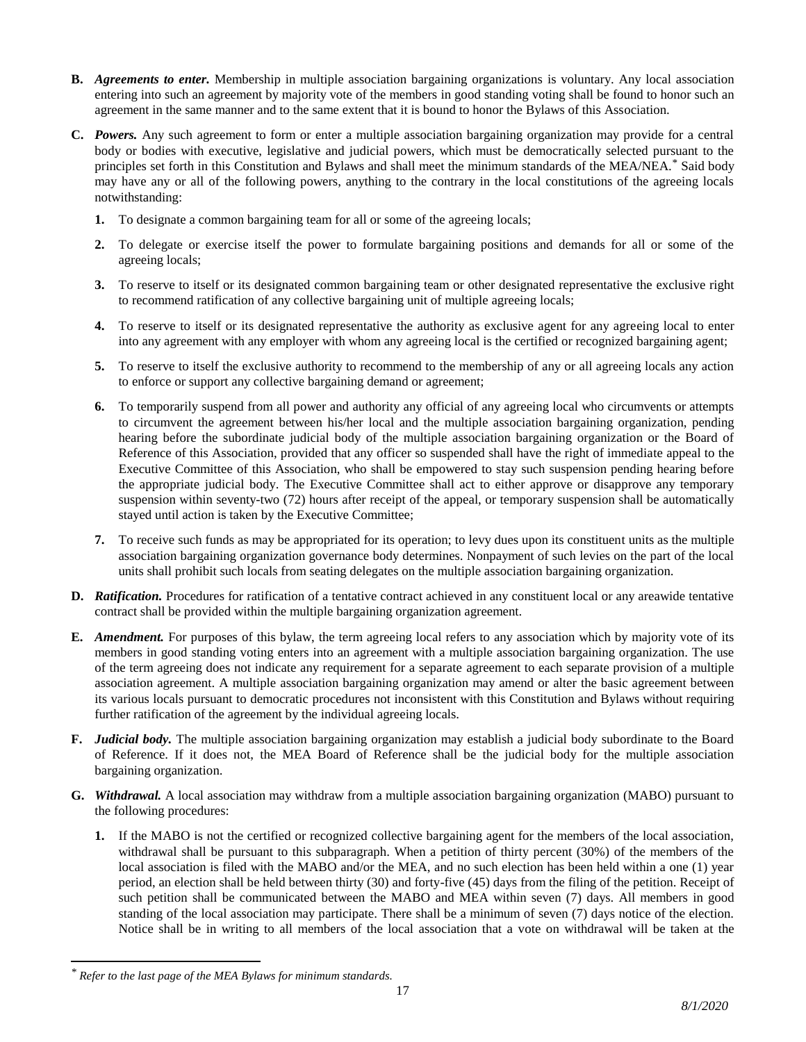- **B.** *Agreements to enter.* Membership in multiple association bargaining organizations is voluntary. Any local association entering into such an agreement by majority vote of the members in good standing voting shall be found to honor such an agreement in the same manner and to the same extent that it is bound to honor the Bylaws of this Association.
- **C.** *Powers.* Any such agreement to form or enter a multiple association bargaining organization may provide for a central body or bodies with executive, legislative and judicial powers, which must be democratically selected pursuant to the principles set forth in this Constitution and Bylaws and shall meet the minimum standards of the MEA/NEA.\* Said body may have any or all of the following powers, anything to the contrary in the local constitutions of the agreeing locals notwithstanding:
	- **1.** To designate a common bargaining team for all or some of the agreeing locals;
	- **2.** To delegate or exercise itself the power to formulate bargaining positions and demands for all or some of the agreeing locals;
	- **3.** To reserve to itself or its designated common bargaining team or other designated representative the exclusive right to recommend ratification of any collective bargaining unit of multiple agreeing locals;
	- **4.** To reserve to itself or its designated representative the authority as exclusive agent for any agreeing local to enter into any agreement with any employer with whom any agreeing local is the certified or recognized bargaining agent;
	- **5.** To reserve to itself the exclusive authority to recommend to the membership of any or all agreeing locals any action to enforce or support any collective bargaining demand or agreement;
	- **6.** To temporarily suspend from all power and authority any official of any agreeing local who circumvents or attempts to circumvent the agreement between his/her local and the multiple association bargaining organization, pending hearing before the subordinate judicial body of the multiple association bargaining organization or the Board of Reference of this Association, provided that any officer so suspended shall have the right of immediate appeal to the Executive Committee of this Association, who shall be empowered to stay such suspension pending hearing before the appropriate judicial body. The Executive Committee shall act to either approve or disapprove any temporary suspension within seventy-two (72) hours after receipt of the appeal, or temporary suspension shall be automatically stayed until action is taken by the Executive Committee;
	- **7.** To receive such funds as may be appropriated for its operation; to levy dues upon its constituent units as the multiple association bargaining organization governance body determines. Nonpayment of such levies on the part of the local units shall prohibit such locals from seating delegates on the multiple association bargaining organization.
- **D.** *Ratification.* Procedures for ratification of a tentative contract achieved in any constituent local or any areawide tentative contract shall be provided within the multiple bargaining organization agreement.
- **E.** *Amendment.* For purposes of this bylaw, the term agreeing local refers to any association which by majority vote of its members in good standing voting enters into an agreement with a multiple association bargaining organization. The use of the term agreeing does not indicate any requirement for a separate agreement to each separate provision of a multiple association agreement. A multiple association bargaining organization may amend or alter the basic agreement between its various locals pursuant to democratic procedures not inconsistent with this Constitution and Bylaws without requiring further ratification of the agreement by the individual agreeing locals.
- **F.** *Judicial body.* The multiple association bargaining organization may establish a judicial body subordinate to the Board of Reference. If it does not, the MEA Board of Reference shall be the judicial body for the multiple association bargaining organization.
- **G.** *Withdrawal.* A local association may withdraw from a multiple association bargaining organization (MABO) pursuant to the following procedures:
	- **1.** If the MABO is not the certified or recognized collective bargaining agent for the members of the local association, withdrawal shall be pursuant to this subparagraph. When a petition of thirty percent (30%) of the members of the local association is filed with the MABO and/or the MEA, and no such election has been held within a one (1) year period, an election shall be held between thirty (30) and forty-five (45) days from the filing of the petition. Receipt of such petition shall be communicated between the MABO and MEA within seven (7) days. All members in good standing of the local association may participate. There shall be a minimum of seven (7) days notice of the election. Notice shall be in writing to all members of the local association that a vote on withdrawal will be taken at the

 $\overline{a}$ 

*<sup>\*</sup> Refer to the last page of the MEA Bylaws for minimum standards.*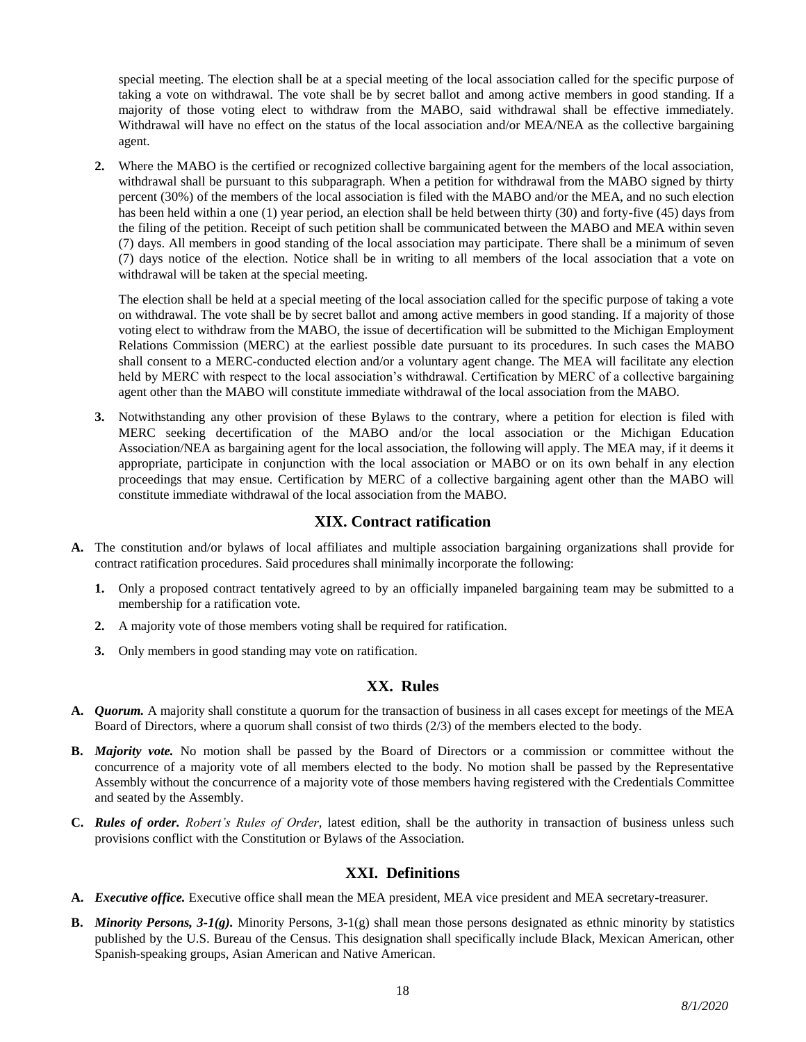special meeting. The election shall be at a special meeting of the local association called for the specific purpose of taking a vote on withdrawal. The vote shall be by secret ballot and among active members in good standing. If a majority of those voting elect to withdraw from the MABO, said withdrawal shall be effective immediately. Withdrawal will have no effect on the status of the local association and/or MEA/NEA as the collective bargaining agent.

**2.** Where the MABO is the certified or recognized collective bargaining agent for the members of the local association, withdrawal shall be pursuant to this subparagraph. When a petition for withdrawal from the MABO signed by thirty percent (30%) of the members of the local association is filed with the MABO and/or the MEA, and no such election has been held within a one (1) year period, an election shall be held between thirty (30) and forty-five (45) days from the filing of the petition. Receipt of such petition shall be communicated between the MABO and MEA within seven (7) days. All members in good standing of the local association may participate. There shall be a minimum of seven (7) days notice of the election. Notice shall be in writing to all members of the local association that a vote on withdrawal will be taken at the special meeting.

The election shall be held at a special meeting of the local association called for the specific purpose of taking a vote on withdrawal. The vote shall be by secret ballot and among active members in good standing. If a majority of those voting elect to withdraw from the MABO, the issue of decertification will be submitted to the Michigan Employment Relations Commission (MERC) at the earliest possible date pursuant to its procedures. In such cases the MABO shall consent to a MERC-conducted election and/or a voluntary agent change. The MEA will facilitate any election held by MERC with respect to the local association's withdrawal. Certification by MERC of a collective bargaining agent other than the MABO will constitute immediate withdrawal of the local association from the MABO.

**3.** Notwithstanding any other provision of these Bylaws to the contrary, where a petition for election is filed with MERC seeking decertification of the MABO and/or the local association or the Michigan Education Association/NEA as bargaining agent for the local association, the following will apply. The MEA may, if it deems it appropriate, participate in conjunction with the local association or MABO or on its own behalf in any election proceedings that may ensue. Certification by MERC of a collective bargaining agent other than the MABO will constitute immediate withdrawal of the local association from the MABO.

# **XIX. Contract ratification**

- **A.** The constitution and/or bylaws of local affiliates and multiple association bargaining organizations shall provide for contract ratification procedures. Said procedures shall minimally incorporate the following:
	- **1.** Only a proposed contract tentatively agreed to by an officially impaneled bargaining team may be submitted to a membership for a ratification vote.
	- **2.** A majority vote of those members voting shall be required for ratification.
	- **3.** Only members in good standing may vote on ratification.

# **XX. Rules**

- **A.** *Quorum.* A majority shall constitute a quorum for the transaction of business in all cases except for meetings of the MEA Board of Directors, where a quorum shall consist of two thirds (2/3) of the members elected to the body.
- **B.** *Majority vote.* No motion shall be passed by the Board of Directors or a commission or committee without the concurrence of a majority vote of all members elected to the body. No motion shall be passed by the Representative Assembly without the concurrence of a majority vote of those members having registered with the Credentials Committee and seated by the Assembly.
- **C.** *Rules of order. Robert's Rules of Order*, latest edition, shall be the authority in transaction of business unless such provisions conflict with the Constitution or Bylaws of the Association.

# **XXI. Definitions**

- **A.** *Executive office.* Executive office shall mean the MEA president, MEA vice president and MEA secretary-treasurer.
- **B.** *Minority Persons, 3-1(g).* Minority Persons, 3-1(g) shall mean those persons designated as ethnic minority by statistics published by the U.S. Bureau of the Census. This designation shall specifically include Black, Mexican American, other Spanish-speaking groups, Asian American and Native American.